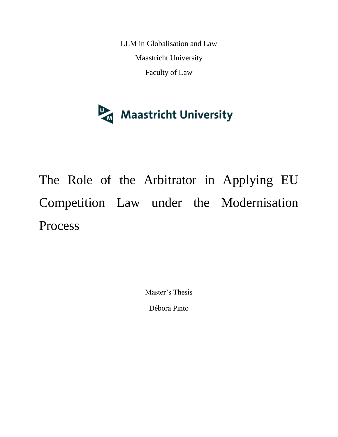LLM in Globalisation and Law Maastricht University Faculty of Law



The Role of the Arbitrator in Applying EU Competition Law under the Modernisation Process

Master's Thesis

Débora Pinto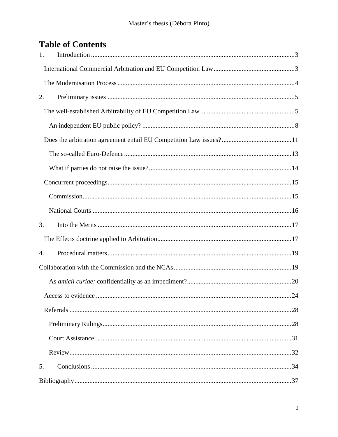# **Table of Contents**

| 1. |  |
|----|--|
|    |  |
|    |  |
| 2. |  |
|    |  |
|    |  |
|    |  |
|    |  |
|    |  |
|    |  |
|    |  |
|    |  |
| 3. |  |
|    |  |
| 4. |  |
|    |  |
|    |  |
|    |  |
|    |  |
|    |  |
|    |  |
|    |  |
| 5. |  |
|    |  |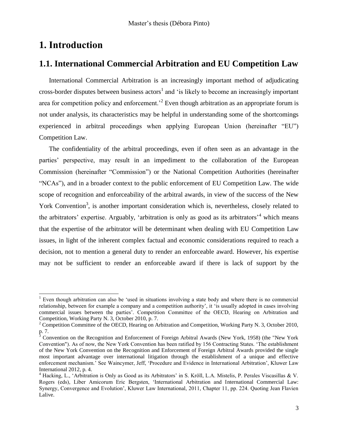## <span id="page-2-0"></span>**1. Introduction**

ı

## <span id="page-2-1"></span>**1.1. International Commercial Arbitration and EU Competition Law**

International Commercial Arbitration is an increasingly important method of adjudicating cross-border disputes between business  $\arccos<sup>1</sup>$  and 'is likely to become an increasingly important area for competition policy and enforcement.<sup>2</sup> Even though arbitration as an appropriate forum is not under analysis, its characteristics may be helpful in understanding some of the shortcomings experienced in arbitral proceedings when applying European Union (hereinafter "EU") Competition Law.

The confidentiality of the arbitral proceedings, even if often seen as an advantage in the parties' perspective, may result in an impediment to the collaboration of the European Commission (hereinafter "Commission") or the National Competition Authorities (hereinafter "NCAs"), and in a broader context to the public enforcement of EU Competition Law. The wide scope of recognition and enforceability of the arbitral awards, in view of the success of the New York Convention<sup>3</sup>, is another important consideration which is, nevertheless, closely related to the arbitrators' expertise. Arguably, 'arbitration is only as good as its arbitrators'<sup>4</sup> which means that the expertise of the arbitrator will be determinant when dealing with EU Competition Law issues, in light of the inherent complex factual and economic considerations required to reach a decision, not to mention a general duty to render an enforceable award. However, his expertise may not be sufficient to render an enforceable award if there is lack of support by the

<sup>&</sup>lt;sup>1</sup> Even though arbitration can also be 'used in situations involving a state body and where there is no commercial relationship, between for example a company and a competition authority', it 'is usually adopted in cases involving commercial issues between the parties'. Competition Committee of the OECD, Hearing on Arbitration and Competition, Working Party N. 3, October 2010, p. 7.

 $2^2$  Competition Committee of the OECD, Hearing on Arbitration and Competition, Working Party N. 3, October 2010, p. 7.

<sup>3</sup> Convention on the Recognition and Enforcement of Foreign Arbitral Awards (New York, 1958) (the "New York Convention"). As of now, the New York Convention has been ratified by 156 Contracting States. 'The establishment of the New York Convention on the Recognition and Enforcement of Foreign Arbitral Awards provided the single most important advantage over international litigation through the establishment of a unique and effective enforcement mechanism.' See Waincymer, Jeff, 'Procedure and Evidence in International Arbitration', Kluwer Law International 2012, p. 4.

<sup>4</sup> Hacking, L., 'Arbitration is Only as Good as its Arbitrators' in S. Kröll, L.A. Mistelis, P. Perales Viscasillas & V. Rogers (eds), Liber Amicorum Eric Bergsten, 'International Arbitration and International Commercial Law: Synergy, Convergence and Evolution', Kluwer Law International, 2011, Chapter 11, pp. 224. Quoting Jean Flavien Lalive.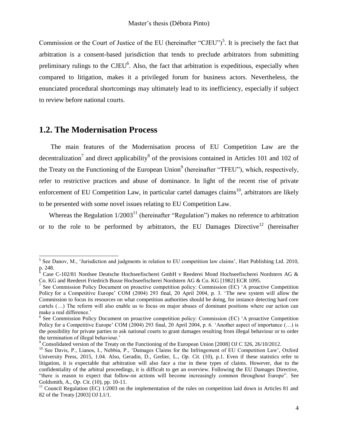Commission or the Court of Justice of the EU (hereinafter "CJEU")<sup>5</sup>. It is precisely the fact that arbitration is a consent-based jurisdiction that tends to preclude arbitrators from submitting preliminary rulings to the CJEU<sup>6</sup>. Also, the fact that arbitration is expeditious, especially when compared to litigation, makes it a privileged forum for business actors. Nevertheless, the enunciated procedural shortcomings may ultimately lead to its inefficiency, especially if subject to review before national courts.

## <span id="page-3-0"></span>**1.2. The Modernisation Process**

The main features of the Modernisation process of EU Competition Law are the decentralization<sup>7</sup> and direct applicability<sup>8</sup> of the provisions contained in Articles 101 and 102 of the Treaty on the Functioning of the European Union<sup>9</sup> (hereinafter "TFEU"), which, respectively, refer to restrictive practices and abuse of dominance. In light of the recent rise of private enforcement of EU Competition Law, in particular cartel damages claims<sup>10</sup>, arbitrators are likely to be presented with some novel issues relating to EU Competition Law.

Whereas the Regulation  $1/2003<sup>11</sup>$  (hereinafter "Regulation") makes no reference to arbitration or to the role to be performed by arbitrators, the EU Damages Directive<sup>12</sup> (hereinafter

<sup>&</sup>lt;sup>5</sup> See Danov, M., 'Jurisdiction and judgments in relation to EU competition law claims', [Hart Publishing Ltd.](http://portal.igpublish.com.ezproxy.ub.unimaas.nl/iglibrary/search/ez/HARTB0000613.html?4-1.ILinkListener-pnlMediaDetail-ctnBookDetail-lnkPublisher) [2010,](javascript:;) p. 248.

<sup>6</sup> Case C-102/81 Nordsee Deutsche Hochseefischerei GmbH v Reederei Mond Hochseefischerei Nordstern AG & Co. KG and Reederei Friedrich Busse Hochseefischerei Nordstern AG & Co. KG [1982] ECR 1095.

<sup>&</sup>lt;sup>7</sup> See Commission Policy Document on proactive competition policy: Commission (EC) 'A proactive Competition Policy for a Competitive Europe' COM (2004) 293 final, 20 April 2004, p. 3. 'The new system will allow the Commission to focus its resources on what competition authorities should be doing, for instance detecting hard core cartels (…) The reform will also enable us to focus on major abuses of dominant positions where our action can make a real difference.'

<sup>&</sup>lt;sup>8</sup> See Commission Policy Document on proactive competition policy: Commission (EC) 'A proactive Competition Policy for a Competitive Europe' COM (2004) 293 final, 20 April 2004, p. 6. 'Another aspect of importance (…) is the possibility for private parties to ask national courts to grant damages resulting from illegal behaviour or to order the termination of illegal behaviour.'

<sup>&</sup>lt;sup>9</sup> Consolidated version of the Treaty on the Functioning of the European Union [2008] OJ C 326, 26/10/2012.

<sup>&</sup>lt;sup>10</sup> See Davis, P., Lianos, I., Nebbia, P., 'Damages Claims for the Infringement of EU Competition Law', Oxford University Press, 2015, 1.04. Also, Geradin, D., Grelier, L., *Op. Cit.* (10), p.1. Even if these statistics refer to litigation, it is expectable that arbitration will also face a rise in these types of claims. However, due to the confidentiality of the arbitral proceedings, it is difficult to get an overview. Following the EU Damages Directive, "there is reason to expect that follow-on actions will become increasingly common throughout Europe". See Goldsmith, A., *Op. Cit*. (10), pp. 10-11.

 $11$  Council Regulation (EC)  $1/2003$  on the implementation of the rules on competition laid down in Articles 81 and 82 of the Treaty [2003] OJ L1/1.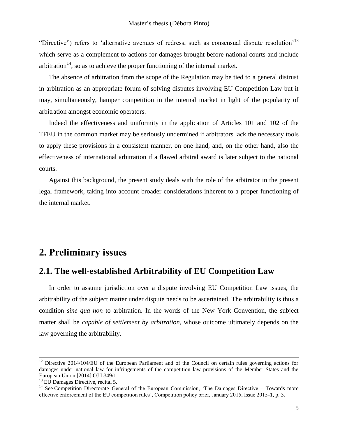"Directive") refers to 'alternative avenues of redress, such as consensual dispute resolution<sup>'13</sup> which serve as a complement to actions for damages brought before national courts and include arbitration<sup>14</sup>, so as to achieve the proper functioning of the internal market.

The absence of arbitration from the scope of the Regulation may be tied to a general distrust in arbitration as an appropriate forum of solving disputes involving EU Competition Law but it may, simultaneously, hamper competition in the internal market in light of the popularity of arbitration amongst economic operators.

Indeed the effectiveness and uniformity in the application of Articles 101 and 102 of the TFEU in the common market may be seriously undermined if arbitrators lack the necessary tools to apply these provisions in a consistent manner, on one hand, and, on the other hand, also the effectiveness of international arbitration if a flawed arbitral award is later subject to the national courts.

Against this background, the present study deals with the role of the arbitrator in the present legal framework, taking into account broader considerations inherent to a proper functioning of the internal market.

## <span id="page-4-0"></span>**2. Preliminary issues**

## <span id="page-4-1"></span>**2.1. The well-established Arbitrability of EU Competition Law**

In order to assume jurisdiction over a dispute involving EU Competition Law issues, the arbitrability of the subject matter under dispute needs to be ascertained. The arbitrability is thus a condition *sine qua non* to arbitration. In the words of the New York Convention, the subject matter shall be *capable of settlement by arbitration*, whose outcome ultimately depends on the law governing the arbitrability.

-

<sup>&</sup>lt;sup>12</sup> Directive 2014/104/EU of the European Parliament and of the Council on certain rules governing actions for damages under national law for infringements of the competition law provisions of the Member States and the European Union [2014] OJ L349/1.

<sup>&</sup>lt;sup>13</sup> EU Damages Directive, recital 5.

<sup>&</sup>lt;sup>14</sup> See Competition Directorate–General of the European Commission, 'The Damages Directive – Towards more effective enforcement of the EU competition rules', Competition policy brief, January 2015, Issue 2015-1, p. 3.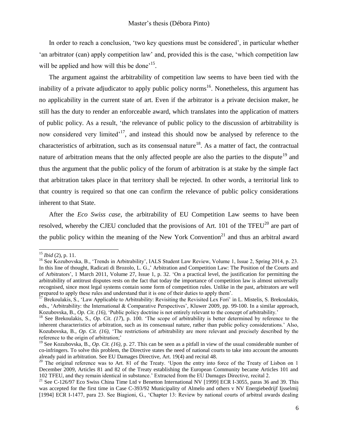In order to reach a conclusion, 'two key questions must be considered', in particular whether 'an arbitrator (can) apply competition law' and, provided this is the case, 'which competition law will be applied and how will this be done<sup>15</sup>.

The argument against the arbitrability of competition law seems to have been tied with the inability of a private adjudicator to apply public policy norms<sup>16</sup>. Nonetheless, this argument has no applicability in the current state of art. Even if the arbitrator is a private decision maker, he still has the duty to render an enforceable award, which translates into the application of matters of public policy. As a result, 'the relevance of public policy to the discussion of arbitrability is now considered very limited<sup>17</sup>, and instead this should now be analysed by reference to the characteristics of arbitration, such as its consensual nature<sup>18</sup>. As a matter of fact, the contractual nature of arbitration means that the only affected people are also the parties to the dispute<sup>19</sup> and thus the argument that the public policy of the forum of arbitration is at stake by the simple fact that arbitration takes place in that territory shall be rejected. In other words, a territorial link to that country is required so that one can confirm the relevance of public policy considerations inherent to that State.

After the *Eco Swiss case*, the arbitrability of EU Competition Law seems to have been resolved, whereby the CJEU concluded that the provisions of Art. 101 of the TFEU<sup>20</sup> are part of the public policy within the meaning of the New York Convention<sup>21</sup> and thus an arbitral award

<sup>15</sup> *Ibid* (2), p. 11.

<sup>&</sup>lt;sup>16</sup> See Kozubovska, B., 'Trends in Arbitrability', IALS Student Law Review, Volume 1, Issue 2, Spring 2014, p. 23. In this line of thought, Radicati di Brozolo, L. G.,' Arbitration and Competition Law: The Position of the Courts and of Arbitrators', 1 March 2011, Volume 27, Issue 1, p. 32. 'On a practical level, the justification for permitting the arbitrability of antitrust disputes rests on the fact that today the importance of competition law is almost universally recognised, since most legal systems contain some form of competition rules. Unlike in the past, arbitrators are well prepared to apply these rules and understand that it is one of their duties to apply them'.

 $17$  Brekoulakis, S., 'Law Applicable to Arbitrability: Revisiting the Revisited Lex Fori' in L. Mistelis, S. Brekoulakis, eds., 'Arbitrability: the International & Comparative Perspectives'*,* Kluwer 2009*,* pp. 99-100. In a similar approach, Kozubovska, B., *Op. Cit. (16),* 'Public policy doctrine is not entirely relevant to the concept of arbitrability.'

<sup>&</sup>lt;sup>18</sup> See Brekoulakis, S., *Op. Cit.* (17), p. 100. 'The scope of arbitrability is better determined by reference to the inherent characteristics of arbitration, such as its consensual nature, rather than public policy considerations.' Also, Kozubovska, B.*, Op. Cit. (16),* 'The restrictions of arbitrability are more relevant and precisely described by the reference to the origin of arbitration;'

<sup>19</sup> See Kozubovska, B.*, Op. Cit. (16),* p. 27. This can be seen as a pitfall in view of the usual considerable number of co-infringers. To solve this problem, the Directive states the need of national courts to take into account the amounts already paid in arbitration. See EU Damages Directive, Art. 19(4) and recital 48.

 $20$  The original reference was to Art. 81 of the Treaty. 'Upon the entry into force of the Treaty of Lisbon on 1 December 2009, Articles 81 and 82 of the Treaty establishing the European Community became Articles 101 and 102 TFEU, and they remain identical in substance.' Extracted from the EU Damages Directive, recital 2.

<sup>&</sup>lt;sup>21</sup> See C-126/97 Eco Swiss China Time Ltd v Benetton International NV [1999] ECR I-3055, paras 36 and 39. This was accepted for the first time in Case C-393/92 Municipality of Almelo and others v NV Energiebedrijf Ijsselmij [1994] ECR I-1477, para 23. See Biagioni, G., 'Chapter 13: Review by national courts of arbitral awards dealing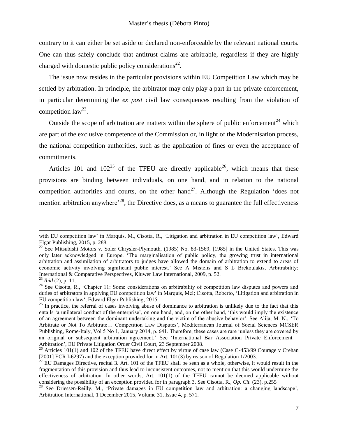contrary to it can either be set aside or declared non-enforceable by the relevant national courts. One can thus safely conclude that antitrust claims are arbitrable, regardless if they are highly charged with domestic public policy considerations<sup>22</sup>.

The issue now resides in the particular provisions within EU Competition Law which may be settled by arbitration. In principle, the arbitrator may only play a part in the private enforcement, in particular determining the *ex post* civil law consequences resulting from the violation of competition  $law^{23}$ .

Outside the scope of arbitration are matters within the sphere of public enforcement<sup>24</sup> which are part of the exclusive competence of the Commission or, in light of the Modernisation process, the national competition authorities, such as the application of fines or even the acceptance of commitments.

Articles 101 and  $102^{25}$  of the TFEU are directly applicable<sup>26</sup>, which means that these provisions are binding between individuals, on one hand, and in relation to the national competition authorities and courts, on the other hand<sup>27</sup>. Although the Regulation 'does not mention arbitration anywhere<sup> $28$ </sup>, the Directive does, as a means to guarantee the full effectiveness

-

with EU competition law' in Marquis, M., Cisotta, R., 'Litigation and arbitration in EU competition law', Edward Elgar Publishing, 2015, p. 288.

<sup>&</sup>lt;sup>22</sup> See Mitsubishi Motors v. Soler Chrysler-Plymouth, (1985) No. 83-1569, [1985] in the United States. This was only later acknowledged in Europe. 'The marginalisation of public policy, the growing trust in international arbitration and assimilation of arbitrators to judges have allowed the domain of arbitration to extend to areas of economic activity involving significant public interest.' See A Mistelis and S L Brekoulakis, Arbitrability: International & Comparative Perspectives, Kluwer Law International, 2009, p. 52.

<sup>23</sup> *Ibid* (2), p. 11.

<sup>&</sup>lt;sup>24</sup> See Cisotta, R., 'Chapter 11: Some considerations on arbitrability of competition law disputes and powers and duties of arbitrators in applying EU competition law' in Marquis, Mel; Cisotta, Roberto, 'Litigation and arbitration in EU competition law', Edward Elgar Publishing, 2015.

 $25$  In practice, the referral of cases involving abuse of dominance to arbitration is unlikely due to the fact that this entails 'a unilateral conduct of the enterprise', on one hand, and, on the other hand, 'this would imply the existence of an agreement between the dominant undertaking and the victim of the abusive behavior'. See Alija, M. N., 'To Arbitrate or Not To Arbitrate… Competition Law Disputes', Mediterranean Journal of Social Sciences MCSER Publishing, Rome-Italy, Vol 5 No 1, January 2014, p. 641. Therefore, these cases are rare 'unless they are covered by an original or subsequent arbitration agreement.' See 'International Bar Association Private Enforcement – Arbitration', [EU Private Litigation Order Civil Court,](http://www.ibanet.org/Document/Default.aspx?DocumentUid=BC705151-ED8A-4BBF-A2F9-460E01707C8B) 23 September 2008.

<sup>&</sup>lt;sup>26</sup> Articles 101(1) and 102 of the TFEU have direct effect by virtue of case law (Case C-453/99 Courage v Crehan [2001] ECR I-6297) and the exception provided for in Art. 101(3) by reason of Regulation 1/2003.

 $^{27}$  EU Damages Directive, recital 3. Art. 101 of the TFEU shall be seen as a whole, otherwise, it would result in the fragmentation of this provision and thus lead to inconsistent outcomes, not to mention that this would undermine the effectiveness of arbitration. In other words, Art. 101(1) of the TFEU cannot be deemed applicable without considering the possibility of an exception provided for in paragraph 3. See [Cisotta,](http://www.elgaronline.com/search?f_0=author&q_0=Roberto%20Cisotta) R., *Op. Cit.* (23), p.255

<sup>&</sup>lt;sup>28</sup> See Driessen-Reilly, M., 'Private damages in EU competition law and arbitration: a changing landscape', Arbitration International, 1 December 2015, Volume 31, Issue 4, p. 571.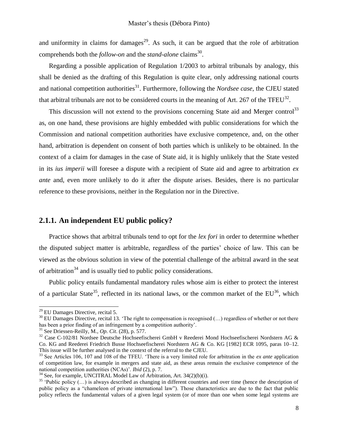and uniformity in claims for damages<sup>29</sup>. As such, it can be argued that the role of arbitration comprehends both the *follow-on* and the *stand-alone* claims<sup>30</sup>.

Regarding a possible application of Regulation 1/2003 to arbitral tribunals by analogy, this shall be denied as the drafting of this Regulation is quite clear, only addressing national courts and national competition authorities<sup>31</sup>. Furthermore, following the *Nordsee case*, the CJEU stated that arbitral tribunals are not to be considered courts in the meaning of Art. 267 of the TFEU<sup>32</sup>.

This discussion will not extend to the provisions concerning State aid and Merger control<sup>33</sup> as, on one hand, these provisions are highly embedded with public considerations for which the Commission and national competition authorities have exclusive competence, and, on the other hand, arbitration is dependent on consent of both parties which is unlikely to be obtained. In the context of a claim for damages in the case of State aid, it is highly unlikely that the State vested in its *ius imperii* will foresee a dispute with a recipient of State aid and agree to arbitration *ex ante* and, even more unlikely to do it after the dispute arises. Besides, there is no particular reference to these provisions, neither in the Regulation nor in the Directive.

### <span id="page-7-0"></span>**2.1.1. An independent EU public policy?**

Practice shows that arbitral tribunals tend to opt for the *lex fori* in order to determine whether the disputed subject matter is arbitrable, regardless of the parties' choice of law. This can be viewed as the obvious solution in view of the potential challenge of the arbitral award in the seat of arbitration<sup>34</sup> and is usually tied to public policy considerations.

Public policy entails fundamental mandatory rules whose aim is either to protect the interest of a particular State<sup>35</sup>, reflected in its national laws, or the common market of the  $EU^{36}$ , which

<sup>&</sup>lt;sup>29</sup> EU Damages Directive, recital 5.

 $30$  EU Damages Directive, recital 13. 'The right to compensation is recognised (...) regardless of whether or not there has been a prior finding of an infringement by a competition authority'.

<sup>31</sup> See Driessen-Reilly, M., *Op. Cit*. (28), p. 577.

<sup>32</sup> Case C-102/81 Nordsee Deutsche Hochseefischerei GmbH v Reederei Mond Hochseefischerei Nordstern AG & Co. KG and Reederei Friedrich Busse Hochseefischerei Nordstern AG & Co. KG [1982] ECR 1095, paras 10–12. This issue will be further analysed in the context of the referral to the CJEU.

<sup>33</sup> See Articles 106, 107 and 108 of the TFEU. 'There is a very limited role for arbitration in the *ex ante* application of competition law, for example in mergers and state aid, as these areas remain the exclusive competence of the national competition authorities (NCAs)'. *Ibid* (2), p. 7.

 $34$  See, for example, UNCITRAL Model Law of Arbitration, Art. 34(2)(b)(i).

 $35$  'Public policy (...) is always described as changing in different countries and over time (hence the description of public policy as a "chameleon of private international law"). Those characteristics are due to the fact that public policy reflects the fundamental values of a given legal system (or of more than one when some legal systems are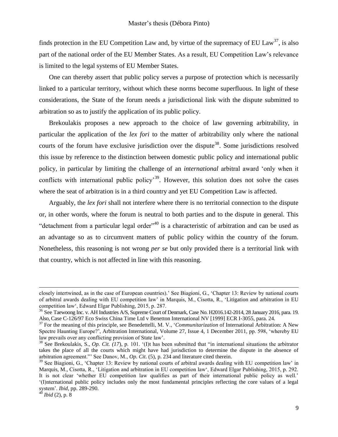finds protection in the EU Competition Law and, by virtue of the supremacy of EU Law<sup>37</sup>, is also part of the national order of the EU Member States. As a result, EU Competition Law's relevance is limited to the legal systems of EU Member States.

One can thereby assert that public policy serves a purpose of protection which is necessarily linked to a particular territory, without which these norms become superfluous. In light of these considerations, the State of the forum needs a jurisdictional link with the dispute submitted to arbitration so as to justify the application of its public policy.

Brekoulakis proposes a new approach to the choice of law governing arbitrability, in particular the application of the *lex fori* to the matter of arbitrability only where the national courts of the forum have exclusive jurisdiction over the dispute<sup>38</sup>. Some jurisdictions resolved this issue by reference to the distinction between domestic public policy and international public policy, in particular by limiting the challenge of an *international* arbitral award 'only when it conflicts with international public policy<sup>39</sup>. However, this solution does not solve the cases where the seat of arbitration is in a third country and yet EU Competition Law is affected.

Arguably, the *lex fori* shall not interfere where there is no territorial connection to the dispute or, in other words, where the forum is neutral to both parties and to the dispute in general. This "detachment from a particular legal order"<sup>40</sup> is a characteristic of arbitration and can be used as an advantage so as to circumvent matters of public policy within the country of the forum. Nonetheless, this reasoning is not wrong *per se* but only provided there is a territorial link with that country, which is not affected in line with this reasoning.

-

closely intertwined, as in the case of European countries).' See Biagioni, G., 'Chapter 13: Review by national courts of arbitral awards dealing with EU competition law' in Marquis, M., Cisotta, R., 'Litigation and arbitration in EU competition law', Edward Elgar Publishing, 2015, p. 287.

<sup>&</sup>lt;sup>36</sup> See Taewoong Inc. v. AH Industries A/S, Supreme Court of Denmark, Case No. H2016.142-2014, 28 January 2016, para. 19. Also, Case C-126/97 Eco Swiss China Time Ltd v Benetton International NV [1999] ECR I-3055, para. 24.

<sup>37</sup> For the meaning of this principle, see Benedettelli, M. V., '*Communitarization* of International Arbitration: A New Spectre Haunting Europe?', Arbitration International, Volume 27, Issue 4, 1 December 2011, pp. 598, 'whereby EU law prevails over any conflicting provision of State law'.

<sup>&</sup>lt;sup>38</sup> See Brekoulakis, S., *Op. Cit.*  $(17)$ , p. 101. '(I)t has been submitted that "in international situations the arbitrator takes the place of all the courts which might have had jurisdiction to determine the dispute in the absence of arbitration agreement."' See Danov, M., *Op. Cit*. (5), p. 234 and literature cited therein.

<sup>&</sup>lt;sup>39</sup> See Biagioni, G., 'Chapter 13: Review by national courts of arbitral awards dealing with EU competition law' in Marquis, M., Cisotta, R., 'Litigation and arbitration in EU competition law', Edward Elgar Publishing, 2015, p. 292. It is not clear 'whether EU competition law qualifies as part of their international public policy as well.' '(I)nternational public policy includes only the most fundamental principles reflecting the core values of a legal system'. *Ibid*, pp. 289-290.

 $4^{40}$  *Ibid* (2), p. 8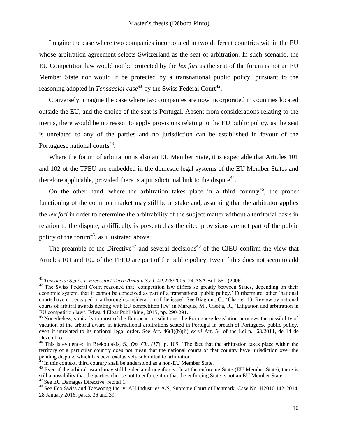Imagine the case where two companies incorporated in two different countries within the EU whose arbitration agreement selects Switzerland as the seat of arbitration. In such scenario, the EU Competition law would not be protected by the *lex fori* as the seat of the forum is not an EU Member State nor would it be protected by a transnational public policy, pursuant to the reasoning adopted in *Tensacciai*  $case^{41}$  by the Swiss Federal Court<sup>42</sup>.

Conversely, imagine the case where two companies are now incorporated in countries located outside the EU, and the choice of the seat is Portugal. Absent from considerations relating to the merits, there would be no reason to apply provisions relating to the EU public policy, as the seat is unrelated to any of the parties and no jurisdiction can be established in favour of the Portuguese national courts<sup>43</sup>.

Where the forum of arbitration is also an EU Member State, it is expectable that Articles 101 and 102 of the TFEU are embedded in the domestic legal systems of the EU Member States and therefore applicable, provided there is a jurisdictional link to the dispute<sup>44</sup>.

On the other hand, where the arbitration takes place in a third country<sup>45</sup>, the proper functioning of the common market may still be at stake and, assuming that the arbitrator applies the *lex fori* in order to determine the arbitrability of the subject matter without a territorial basis in relation to the dispute, a difficulty is presented as the cited provisions are not part of the public policy of the forum<sup>46</sup>, as illustrated above.

The preamble of the Directive<sup>47</sup> and several decisions<sup>48</sup> of the CJEU confirm the view that Articles 101 and 102 of the TFEU are part of the public policy. Even if this does not seem to add

1

<sup>41</sup> *Tensacciai S.p.A. v. Freyssinet Terra Armata S.r.l.* 4P.278/2005, 24 ASA Bull 550 (2006).

<sup>&</sup>lt;sup>42</sup> The Swiss Federal Court reasoned that 'competition law differs so greatly between States, depending on their economic system, that it cannot be conceived as part of a transnational public policy.' Furthermore, other 'national courts have not engaged in a thorough consideration of the issue'. See Biagioni, G., 'Chapter 13: Review by national courts of arbitral awards dealing with EU competition law' in Marquis, M., Cisotta, R., 'Litigation and arbitration in EU competition law', Edward Elgar Publishing, 2015, pp. 290-291.

<sup>&</sup>lt;sup>43</sup> Nonetheless, similarly to most of the European jurisdictions, the Portuguese legislation purviews the possibility of vacation of the arbitral award in international arbitrations seated in Portugal in breach of Portuguese public policy, even if unrelated to its national legal order. See Art.  $46(3)(b)(ii)$  *ex vi* Art. 54 of the Lei n.<sup>o</sup>  $63/2011$ , de 14 de Dezembro.

<sup>&</sup>lt;sup>44</sup> This is evidenced in Brekoulakis, S., Op. Cit. (17), p. 105: 'The fact that the arbitration takes place within the territory of a particular country does not mean that the national courts of that country have jurisdiction over the pending dispute, which has been exclusively submitted to arbitration.'

 $45$  In this context, third country shall be understood as a non-EU Member State.

<sup>&</sup>lt;sup>46</sup> Even if the arbitral award may still be declared unenforceable at the enforcing State (EU Member State), there is still a possibility that the parties choose not to enforce it or that the enforcing State is not an EU Member State. <sup>47</sup> See EU Damages Directive, recital 1.

<sup>48</sup> See Eco Swiss and Taewoong Inc. v. AH Industries A/S, Supreme Court of Denmark, Case No. H2016.142-2014, 28 January 2016, paras. 36 and 39.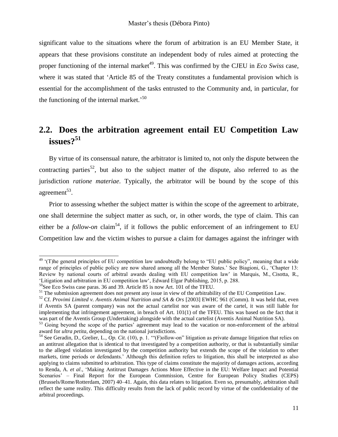significant value to the situations where the forum of arbitration is an EU Member State, it appears that these provisions constitute an independent body of rules aimed at protecting the proper functioning of the internal market<sup>49</sup>. This was confirmed by the CJEU in *Eco Swiss* case, where it was stated that 'Article 85 of the Treaty constitutes a fundamental provision which is essential for the accomplishment of the tasks entrusted to the Community and, in particular, for the functioning of the internal market.<sup>50</sup>

## <span id="page-10-0"></span>**2.2. Does the arbitration agreement entail EU Competition Law issues?<sup>51</sup>**

By virtue of its consensual nature, the arbitrator is limited to, not only the dispute between the contracting parties<sup>52</sup>, but also to the subject matter of the dispute, also referred to as the jurisdiction *ratione materiae*. Typically, the arbitrator will be bound by the scope of this agreement<sup>53</sup>.

Prior to assessing whether the subject matter is within the scope of the agreement to arbitrate, one shall determine the subject matter as such, or, in other words, the type of claim. This can either be a *follow-on* claim<sup>54</sup>, if it follows the public enforcement of an infringement to EU Competition law and the victim wishes to pursue a claim for damages against the infringer with

 $49$  '(T)he general principles of EU competition law undoubtedly belong to "EU public policy", meaning that a wide range of principles of public policy are now shared among all the Member States.' See Biagioni, G., 'Chapter 13: Review by national courts of arbitral awards dealing with EU competition law' in Marquis, M., Cisotta, R., 'Litigation and arbitration in EU competition law', Edward Elgar Publishing, 2015, p. 288.

<sup>50</sup>See Eco Swiss case paras. 36 and 39. Article 85 is now Art. 101 of the TFEU.

<sup>&</sup>lt;sup>51</sup> The submission agreement does not present any issue in view of the arbitrability of the EU Competition Law.

<sup>52</sup> Cf. *Provimi Limited v. Aventis Animal Nutrition and SA & Ors* [2003] EWHC 961 (Comm). It was held that, even if Aventis SA (parent company) was not the actual cartelist nor was aware of the cartel, it was still liable for implementing that infringement agreement, in breach of Art. 101(1) of the TFEU. This was based on the fact that it was part of the Aventis Group (Undertaking) alongside with the actual cartelist (Aventis Animal Nutrition SA).

<sup>&</sup>lt;sup>53</sup> Going beyond the scope of the parties' agreement may lead to the vacation or non-enforcement of the arbitral award for *ultra petita*, depending on the national jurisdictions.

<sup>&</sup>lt;sup>54</sup> See Geradin, D., Grelier, L., *Op. Cit.* (10), p. 1. "(F)ollow-on" litigation as private damage litigation that relies on an antitrust allegation that is identical to that investigated by a competition authority, or that is substantially similar to the alleged violation investigated by the competition authority but extends the scope of the violation to other markets, time periods or defendants.' Although this definition refers to litigation, this shall be interpreted as also applying to claims submitted to arbitration. This type of claims constitute the majority of damages actions, according to Renda, A. *et al*., 'Making Antitrust Damages Actions More Effective in the EU: Welfare Impact and Potential Scenarios' – Final Report for the European Commission, Centre for European Policy Studies (CEPS) (Brussels/Rome/Rotterdam, 2007) 40–41. Again, this data relates to litigation. Even so, presumably, arbitration shall reflect the same reality. This difficulty results from the lack of public record by virtue of the confidentiality of the arbitral proceedings.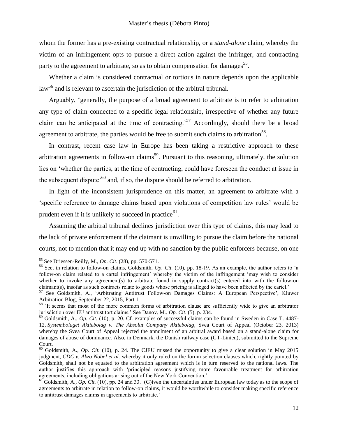whom the former has a pre-existing contractual relationship, or a *stand-alone* claim, whereby the victim of an infringement opts to pursue a direct action against the infringer, and contracting party to the agreement to arbitrate, so as to obtain compensation for damages<sup>55</sup>.

Whether a claim is considered contractual or tortious in nature depends upon the applicable law<sup>56</sup> and is relevant to ascertain the jurisdiction of the arbitral tribunal.

Arguably, 'generally, the purpose of a broad agreement to arbitrate is to refer to arbitration any type of claim connected to a specific legal relationship, irrespective of whether any future claim can be anticipated at the time of contracting.'<sup>57</sup> Accordingly, should there be a broad agreement to arbitrate, the parties would be free to submit such claims to arbitration<sup>58</sup>.

In contrast, recent case law in Europe has been taking a restrictive approach to these arbitration agreements in follow-on claims<sup>59</sup>. Pursuant to this reasoning, ultimately, the solution lies on 'whether the parties, at the time of contracting, could have foreseen the conduct at issue in the subsequent dispute<sup> $60$ </sup> and, if so, the dispute should be referred to arbitration.

In light of the inconsistent jurisprudence on this matter, an agreement to arbitrate with a 'specific reference to damage claims based upon violations of competition law rules' would be prudent even if it is unlikely to succeed in practice $^{61}$ .

Assuming the arbitral tribunal declines jurisdiction over this type of claims, this may lead to the lack of private enforcement if the claimant is unwilling to pursue the claim before the national courts, not to mention that it may end up with no sanction by the public enforcers because, on one

<sup>55</sup> See Driessen-Reilly, M., *Op. Cit*. (28), pp. 570-571.

<sup>56</sup> See, in relation to follow-on claims, Goldsmith, *Op. Cit.* (10), pp. 18-19. As an example, the author refers to 'a follow-on claim related to a cartel infringement' whereby the victim of the infringement 'may wish to consider whether to invoke any agreement(s) to arbitrate found in supply contract(s) entered into with the follow-on claimant(s), insofar as such contracts relate to goods whose pricing is alleged to have been affected by the cartel.'

<sup>57</sup> See Goldsmith, A., 'Arbitrating Antitrust Follow-on Damages Claims: A European Perspective', Kluwer Arbitration Blog, September 22, 2015, Part 1.

<sup>&</sup>lt;sup>58</sup> 'It seems that most of the more common forms of arbitration clause are sufficiently wide to give an arbitrator jurisdiction over EU antitrust tort claims.' See Danov, M., *Op. Cit*. (5), p. 234.

<sup>59</sup> Goldsmith, A., *Op. Cit.* (10), p. 20. Cf. examples of successful claims can be found in Sweden in Case T. 4487- 12, *Systembolaget Aktiebolag v. The Absolut Company Aktiebolag*, Svea Court of Appeal (October 23, 2013) whereby the Svea Court of Appeal rejected the annulment of an arbitral award based on a stand-alone claim for damages of abuse of dominance. Also, in Denmark, the Danish railway case (GT-Linien), submitted to the Supreme Court.

<sup>&</sup>lt;sup>60</sup> Goldsmith, A., *Op. Cit.* (10), p. 24. The CJEU missed the opportunity to give a clear solution in May 2015 judgment, *CDC v. Akzo Nobel et al.* whereby it only ruled on the forum selection clauses which, rightly pointed by Goldsmith, shall not be equated to the arbitration agreement which is in turn reserved to the national laws. The author justifies this approach with 'principled reasons justifying more favourable treatment for arbitration agreements, including obligations arising out of the New York Convention.'

 $^{61}$  Goldsmith, A., *Op. Cit.* (10), pp. 24 and 33. '(G)iven the uncertainties under European law today as to the scope of agreements to arbitrate in relation to follow-on claims, it would be worthwhile to consider making specific reference to antitrust damages claims in agreements to arbitrate.'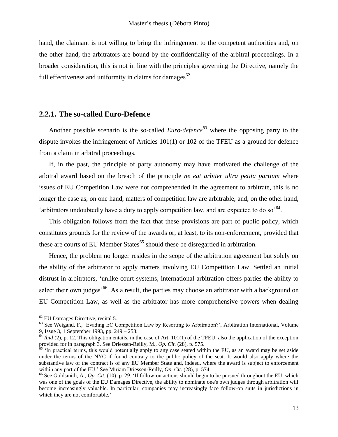hand, the claimant is not willing to bring the infringement to the competent authorities and, on the other hand, the arbitrators are bound by the confidentiality of the arbitral proceedings. In a broader consideration, this is not in line with the principles governing the Directive, namely the full effectiveness and uniformity in claims for damages $^{62}$ .

#### <span id="page-12-0"></span>**2.2.1. The so-called Euro-Defence**

Another possible scenario is the so-called *Euro-defence<sup>63</sup>* where the opposing party to the dispute invokes the infringement of Articles 101(1) or 102 of the TFEU as a ground for defence from a claim in arbitral proceedings.

If, in the past, the principle of party autonomy may have motivated the challenge of the arbitral award based on the breach of the principle *ne eat arbiter ultra petita partium* where issues of EU Competition Law were not comprehended in the agreement to arbitrate*,* this is no longer the case as, on one hand, matters of competition law are arbitrable, and, on the other hand, 'arbitrators undoubtedly have a duty to apply competition law, and are expected to do so<sup> $64$ </sup>.

This obligation follows from the fact that these provisions are part of public policy, which constitutes grounds for the review of the awards or, at least, to its non-enforcement, provided that these are courts of EU Member States<sup> $65$ </sup> should these be disregarded in arbitration.

Hence, the problem no longer resides in the scope of the arbitration agreement but solely on the ability of the arbitrator to apply matters involving EU Competition Law. Settled an initial distrust in arbitrators, 'unlike court systems, international arbitration offers parties the ability to select their own judges<sup>'66</sup>. As a result, the parties may choose an arbitrator with a background on EU Competition Law, as well as the arbitrator has more comprehensive powers when dealing

1

 $62$  EU Damages Directive, recital 5.

<sup>&</sup>lt;sup>63</sup> See Weigand, F., 'Evading EC Competition Law by Resorting to Arbitration?', Arbitration [International,](http://arbitration.oxfordjournals.org/) [Volume](http://arbitration.oxfordjournals.org/content/9/3) 9, [Issue](http://arbitration.oxfordjournals.org/content/9/3) 3, 1 September 1993, pp. 249 – 258.

 $^{64}$  *Ibid* (2), p. 12. This obligation entails, in the case of Art. 101(1) of the TFEU, also the application of the exception provided for in paragraph 3. See Driessen-Reilly, M., *Op. Cit*. (28), p. 575.

 $\frac{65}{65}$  'In practical terms, this would potentially apply to any case seated within the EU, as an award may be set aside under the terms of the NYC if found contrary to the public policy of the seat. It would also apply where the substantive law of the contract is of any EU Member State and, indeed, where the award is subject to enforcement within any part of the EU.' See Miriam Driessen-Reilly, *Op. Cit*. (28), p. 574.

<sup>&</sup>lt;sup>66</sup> See Goldsmith, A., *Op. Cit.* (10), p. 29. 'If follow-on actions should begin to be pursued throughout the EU, which was one of the goals of the EU Damages Directive, the ability to nominate one's own judges through arbitration will become increasingly valuable. In particular, companies may increasingly face follow-on suits in jurisdictions in which they are not comfortable.'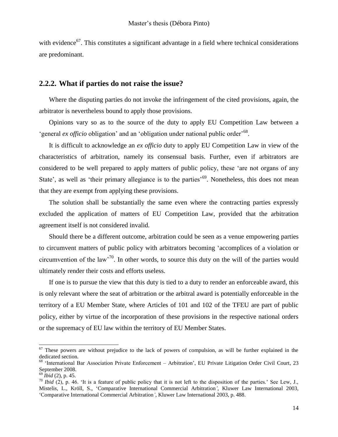with evidence<sup>67</sup>. This constitutes a significant advantage in a field where technical considerations are predominant.

#### <span id="page-13-0"></span>**2.2.2. What if parties do not raise the issue?**

Where the disputing parties do not invoke the infringement of the cited provisions, again, the arbitrator is nevertheless bound to apply those provisions.

Opinions vary so as to the source of the duty to apply EU Competition Law between a 'general ex officio obligation' and an 'obligation under national public order<sup>'68</sup>.

It is difficult to acknowledge an *ex officio* duty to apply EU Competition Law in view of the characteristics of arbitration, namely its consensual basis. Further, even if arbitrators are considered to be well prepared to apply matters of public policy, these 'are not organs of any State', as well as 'their primary allegiance is to the parties'<sup>69</sup>. Nonetheless, this does not mean that they are exempt from applying these provisions.

The solution shall be substantially the same even where the contracting parties expressly excluded the application of matters of EU Competition Law, provided that the arbitration agreement itself is not considered invalid.

Should there be a different outcome, arbitration could be seen as a venue empowering parties to circumvent matters of public policy with arbitrators becoming 'accomplices of a violation or circumvention of the law<sup>70</sup>. In other words, to source this duty on the will of the parties would ultimately render their costs and efforts useless.

If one is to pursue the view that this duty is tied to a duty to render an enforceable award, this is only relevant where the seat of arbitration or the arbitral award is potentially enforceable in the territory of a EU Member State, where Articles of 101 and 102 of the TFEU are part of public policy, either by virtue of the incorporation of these provisions in the respective national orders or the supremacy of EU law within the territory of EU Member States.

 $67$  These powers are without prejudice to the lack of powers of compulsion, as will be further explained in the dedicated section.

 $68$  'International Bar Association Private Enforcement – Arbitration', [EU Private Litigation Order Civil Court,](http://www.ibanet.org/Document/Default.aspx?DocumentUid=BC705151-ED8A-4BBF-A2F9-460E01707C8B) 23 September 2008.

<sup>69</sup> *Ibid* (2), p. 45.

 $70$  *Ibid* (2), p. 46. 'It is a feature of public policy that it is not left to the disposition of the parties.' See Lew, J., Mistelis, L., Kröll, S., 'Comparative International Commercial Arbitration*'*, Kluwer Law International 2003, 'Comparative International Commercial Arbitration*'*, Kluwer Law International 2003, p. 488.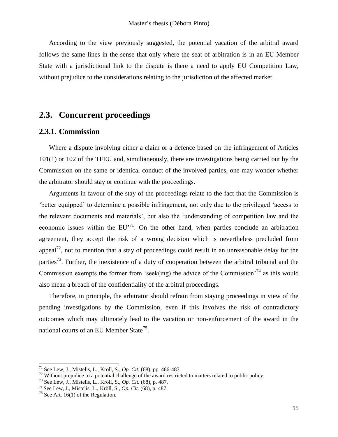According to the view previously suggested, the potential vacation of the arbitral award follows the same lines in the sense that only where the seat of arbitration is in an EU Member State with a jurisdictional link to the dispute is there a need to apply EU Competition Law, without prejudice to the considerations relating to the jurisdiction of the affected market.

## <span id="page-14-0"></span>**2.3. Concurrent proceedings**

#### <span id="page-14-1"></span>**2.3.1. Commission**

Where a dispute involving either a claim or a defence based on the infringement of Articles 101(1) or 102 of the TFEU and, simultaneously, there are investigations being carried out by the Commission on the same or identical conduct of the involved parties, one may wonder whether the arbitrator should stay or continue with the proceedings.

Arguments in favour of the stay of the proceedings relate to the fact that the Commission is 'better equipped' to determine a possible infringement, not only due to the privileged 'access to the relevant documents and materials', but also the 'understanding of competition law and the economic issues within the  $EU^{\prime 71}$ . On the other hand, when parties conclude an arbitration agreement, they accept the risk of a wrong decision which is nevertheless precluded from appeal<sup>72</sup>, not to mention that a stay of proceedings could result in an unreasonable delay for the parties<sup>73</sup>. Further, the inexistence of a duty of cooperation between the arbitral tribunal and the Commission exempts the former from 'seek(ing) the advice of the Commission<sup> $74$ </sup> as this would also mean a breach of the confidentiality of the arbitral proceedings.

Therefore, in principle, the arbitrator should refrain from staying proceedings in view of the pending investigations by the Commission, even if this involves the risk of contradictory outcomes which may ultimately lead to the vacation or non-enforcement of the award in the national courts of an EU Member State<sup>75</sup>.

<sup>71</sup> See Lew, J., Mistelis, L., Kröll, S., *Op. Cit.* (68), pp. 486-487.

 $72$  Without prejudice to a potential challenge of the award restricted to matters related to public policy.

<sup>73</sup> See Lew, J., Mistelis, L., Kröll, S., *Op. Cit.* (68), p. 487.

<sup>74</sup> See Lew, J., Mistelis, L., Kröll, S., *Op. Cit.* (68), p. 487.

<sup>&</sup>lt;sup>75</sup> See Art. 16(1) of the Regulation.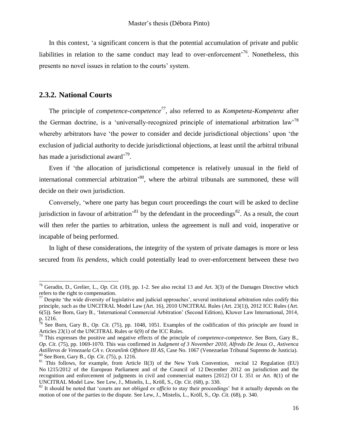In this context, 'a significant concern is that the potential accumulation of private and public liabilities in relation to the same conduct may lead to over-enforcement<sup> $76$ </sup>. Nonetheless, this presents no novel issues in relation to the courts' system.

#### <span id="page-15-0"></span>**2.3.2. National Courts**

ı

The principle of *competence-competence<sup>77</sup>*, also referred to as *Kompetenz-Kompetenz* after the German doctrine, is a 'universally-recognized principle of international arbitration law<sup>78</sup> whereby arbitrators have 'the power to consider and decide jurisdictional objections' upon 'the exclusion of judicial authority to decide jurisdictional objections, at least until the arbitral tribunal has made a jurisdictional award'<sup>79</sup>.

Even if 'the allocation of jurisdictional competence is relatively unusual in the field of international commercial arbitration<sup>, 80</sup>, where the arbitral tribunals are summoned, these will decide on their own jurisdiction.

Conversely, 'where one party has begun court proceedings the court will be asked to decline jurisdiction in favour of arbitration<sup>81</sup> by the defendant in the proceedings<sup>82</sup>. As a result, the court will then refer the parties to arbitration, unless the agreement is null and void, inoperative or incapable of being performed.

In light of these considerations, the integrity of the system of private damages is more or less secured from *lis pendens*, which could potentially lead to over-enforcement between these two

<sup>&</sup>lt;sup>76</sup> Geradin, D., Grelier, L., *Op. Cit.* (10), pp. 1-2. See also recital 13 and Art. 3(3) of the Damages Directive which refers to the right to compensation.

<sup>&</sup>lt;sup>77</sup> Despite 'the wide diversity of legislative and judicial approaches', several institutional arbitration rules codify this principle, such as the UNCITRAL Model Law (Art. 16), 2010 UNCITRAL Rules (Art. 23(1)), 2012 ICC Rules (Art. 6(5)). See Born, Gary B., 'International Commercial Arbitration' (Second Edition), Kluwer Law International, 2014, p. 1216.

 $78$  See Born, Gary B., *Op. Cit.* (75), pp. 1048, 1051. Examples of the codification of this principle are found in Articles 23(1) of the UNCITRAL Rules or 6(9) of the ICC Rules.

<sup>79</sup> This expresses the positive and negative effects of the principle of *competence-competence*. See Born, Gary B., *Op. Cit*. (75), pp. 1069-1070. This was confirmed in *Judgment of 3 November 2010, Alfredo De Jesus O., Astivenca Astilleros de Venezuela CA v. Oceanlink Offshore III AS*, Case No. 1067 (Venezuelan Tribunal Supremo de Justicia). <sup>80</sup> See Born, Gary B., *Op. Cit*. (75), p. 1216.

<sup>&</sup>lt;sup>81</sup> This follows, for example, from Article II(3) of the New York Convention, recital 12 Regulation (EU) No 1215/2012 of the European Parliament and of the Council of 12 December 2012 on jurisdiction and the recognition and enforcement of judgments in civil and commercial matters [2012] OJ L 351 or Art. 8(1) of the UNCITRAL Model Law. See Lew, J., Mistelis, L., Kröll, S., *Op. Cit.* (68), p. 330.

<sup>&</sup>lt;sup>82</sup> It should be noted that 'courts are not obliged *ex officio* to stay their proceedings' but it actually depends on the motion of one of the parties to the dispute. See Lew, J., Mistelis, L., Kröll, S., *Op. Cit.* (68), p. 340.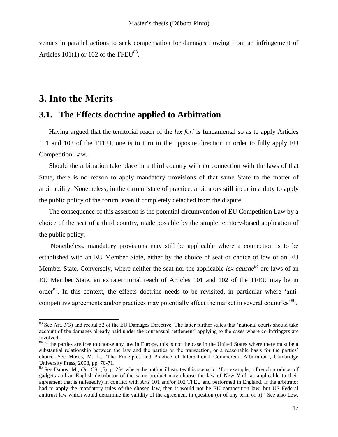venues in parallel actions to seek compensation for damages flowing from an infringement of Articles  $101(1)$  or  $102$  of the TFEU<sup>83</sup>.

## <span id="page-16-0"></span>**3. Into the Merits**

ı

## <span id="page-16-1"></span>**3.1. The Effects doctrine applied to Arbitration**

Having argued that the territorial reach of the *lex fori* is fundamental so as to apply Articles 101 and 102 of the TFEU, one is to turn in the opposite direction in order to fully apply EU Competition Law.

Should the arbitration take place in a third country with no connection with the laws of that State, there is no reason to apply mandatory provisions of that same State to the matter of arbitrability. Nonetheless, in the current state of practice, arbitrators still incur in a duty to apply the public policy of the forum, even if completely detached from the dispute.

The consequence of this assertion is the potential circumvention of EU Competition Law by a choice of the seat of a third country, made possible by the simple territory-based application of the public policy.

Nonetheless, mandatory provisions may still be applicable where a connection is to be established with an EU Member State, either by the choice of seat or choice of law of an EU Member State. Conversely, where neither the seat nor the applicable *lex causae<sup>84</sup>* are laws of an EU Member State, an extraterritorial reach of Articles 101 and 102 of the TFEU may be in order<sup>85</sup>. In this context, the effects doctrine needs to be revisited, in particular where 'anticompetitive agreements and/or practices may potentially affect the market in several countries<sup>, 86</sup>.

 $83$  See Art. 3(3) and recital 52 of the EU Damages Directive. The latter further states that 'national courts should take account of the damages already paid under the consensual settlement' applying to the cases where co-infringers are involved.

<sup>&</sup>lt;sup>84</sup> If the parties are free to choose any law in Europe, this is not the case in the United States where there must be a substantial relationship between the law and the parties or the transaction, or a reasonable basis for the parties' choice. See Moses, M. L., 'The Principles and Practice of International Commercial Arbitration', Cambridge University Press, 2008, pp. 70-71.

<sup>85</sup> See Danov, M., *Op. Cit*. (5), p. 234 where the author illustrates this scenario: 'For example, a French producer of gadgets and an English distributor of the same product may choose the law of New York as applicable to their agreement that is (allegedly) in conflict with Arts 101 and/or 102 TFEU and performed in England. If the arbitrator had to apply the mandatory rules of the chosen law, then it would not be EU competition law, but US Federal antitrust law which would determine the validity of the agreement in question (or of any term of it).' See also Lew,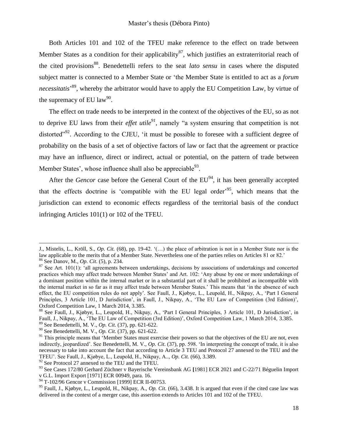Both Articles 101 and 102 of the TFEU make reference to the effect on trade between Member States as a condition for their applicability<sup>87</sup>, which justifies an extraterritorial reach of the cited provisions<sup>88</sup>. Benedettelli refers to the seat *lato sensu* in cases where the disputed subject matter is connected to a Member State or 'the Member State is entitled to act as a *forum* necessitatis<sup>,89</sup>, whereby the arbitrator would have to apply the EU Competition Law, by virtue of the supremacy of EU law<sup>90</sup>.

The effect on trade needs to be interpreted in the context of the objectives of the EU, so as not to deprive EU laws from their *effet utile<sup>91</sup>* , namely "a system ensuring that competition is not distorted"<sup>92</sup>. According to the CJEU, 'it must be possible to foresee with a sufficient degree of probability on the basis of a set of objective factors of law or fact that the agreement or practice may have an influence, direct or indirect, actual or potential, on the pattern of trade between Member States', whose influence shall also be appreciable  $93$ .

After the *Gencor* case before the *General Court* of the  $EU^{94}$ , it has been generally accepted that the effects doctrine is 'compatible with the EU legal order'<sup>95</sup>, which means that the jurisdiction can extend to economic effects regardless of the territorial basis of the conduct infringing Articles 101(1) or 102 of the TFEU.

-

J., Mistelis, L., Kröll, S., *Op. Cit.* (68), pp. 19-42. '(…) the place of arbitration is not in a Member State nor is the law applicable to the merits that of a Member State. Nevertheless one of the parties relies on Articles 81 or 82.' <sup>86</sup> See Danov, M., *Op. Cit*. (5), p. 234.

 $87$  See Art. 101(1): 'all agreements between undertakings, decisions by associations of undertakings and concerted practices which may affect trade between Member States' and Art. 102: 'Any abuse by one or more undertakings of a dominant position within the internal market or in a substantial part of it shall be prohibited as incompatible with the internal market in so far as it may affect trade between Member States.' This means that 'in the absence of such effect, the EU competition rules do not apply'. See Faull, J., Kjøbye, L., Leupold, H., Nikpay, A., 'Part I General Principles, 3 Article 101, D Jurisdiction', in Faull, J., Nikpay, A., 'The EU Law of Competition (3rd Edition)', Oxford Competition Law, 1 March 2014, 3.385.

<sup>88</sup> See Faull, J., Kjøbye, L., Leupold, H., Nikpay, A., 'Part I General Principles, 3 Article 101, D Jurisdiction', in Faull, J., Nikpay, A., 'The EU Law of Competition (3rd Edition)', Oxford Competition Law, 1 March 2014, 3.385. <sup>89</sup> See Benedettelli, M. V., *Op. Cit*. (37), pp. 621-622.

<sup>90</sup> See Benedettelli, M. V., *Op. Cit*. (37), pp. 621-622.

 $91$  This principle means that 'Member States must exercise their powers so that the objectives of the EU are not, even indirectly, jeopardized'. See Benedettelli, M. V., *Op. Cit*. (37), pp. 598. 'In interpreting the concept of trade, it is also necessary to take into account the fact that according to Article 3 TEU and Protocol 27 annexed to the TEU and the TFEU'. See Faull, J., Kjøbye, L., Leupold, H., Nikpay, A.., *Op. Cit.* (66), 3.389.

 $92$  See Protocol 27 annexed to the TEU and the TFEU.

<sup>93</sup> See Cases 172/80 Gerhard Züchner v Bayerische Vereinsbank AG **[**1981] ECR 2021 and C-22/71 Béguelin Import v G.L. Import Export [1971] ECR 00949, para. 16.

<sup>&</sup>lt;sup>94</sup> T-102/96 Gencor v Commission [1999] ECR II-00753.

<sup>95</sup> Faull, J., Kjøbye, L., Leupold, H., Nikpay, A., *Op. Cit.* (66), 3.438. It is argued that even if the cited case law was delivered in the context of a merger case, this assertion extends to Articles 101 and 102 of the TFEU.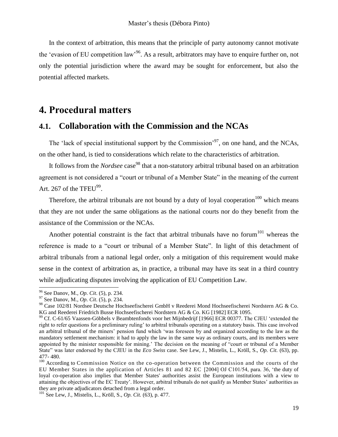In the context of arbitration, this means that the principle of party autonomy cannot motivate the 'evasion of EU competition law<sup>396</sup>. As a result, arbitrators may have to enquire further on, not only the potential jurisdiction where the award may be sought for enforcement, but also the potential affected markets.

## <span id="page-18-0"></span>**4. Procedural matters**

## <span id="page-18-1"></span>**4.1. Collaboration with the Commission and the NCAs**

The 'lack of special institutional support by the Commission'<sup>97</sup>, on one hand, and the NCAs, on the other hand, is tied to considerations which relate to the characteristics of arbitration.

It follows from the *Nordsee* case <sup>98</sup> that a non-statutory arbitral tribunal based on an arbitration agreement is not considered a "court or tribunal of a Member State" in the meaning of the current Art. 267 of the TFEU $^{99}$ .

Therefore, the arbitral tribunals are not bound by a duty of loyal cooperation<sup>100</sup> which means that they are not under the same obligations as the national courts nor do they benefit from the assistance of the Commission or the NCAs.

Another potential constraint is the fact that arbitral tribunals have no forum $101$  whereas the reference is made to a "court or tribunal of a Member State". In light of this detachment of arbitral tribunals from a national legal order, only a mitigation of this requirement would make sense in the context of arbitration as, in practice, a tribunal may have its seat in a third country while adjudicating disputes involving the application of EU Competition Law.

<sup>96</sup> See Danov, M., *Op. Cit*. (5), p. 234.

<sup>97</sup> See Danov, M., *Op. Cit*. (5), p. 234.

<sup>98</sup> Case 102/81 Nordsee Deutsche Hochseefischerei GmbH v Reederei Mond Hochseefischerei Nordstern AG & Co. KG and Reederei Friedrich Busse Hochseefischerei Nordstern AG & Co. KG [1982] ECR 1095.

<sup>&</sup>lt;sup>99</sup> Cf. C-61/65 Vaassen-Göbbels v Beambtenfonds voor het Mijnbedrijf [1966] ECR 00377. The CJEU 'extended the right to refer questions for a preliminary ruling' to arbitral tribunals operating on a statutory basis. This case involved an arbitral tribunal of the miners' pension fund which 'was foreseen by and organized according to the law as the mandatory settlement mechanism: it had to apply the law in the same way as ordinary courts, and its members were appointed by the minister responsible for mining.' The decision on the meaning of "court or tribunal of a Member State" was later endorsed by the CJEU in the *Eco Swiss* case. See Lew, J., Mistelis, L., Kröll, S., *Op. Cit.* (63), pp. 477- 480.

<sup>&</sup>lt;sup>100</sup> According to Commission Notice on the co-operation between the Commission and the courts of the EU Member States in the application of Articles 81 and 82 EC [2004] OJ C101/54, para. 36, 'the duty of loyal co-operation also implies that Member States' authorities assist the European institutions with a view to attaining the objectives of the EC Treaty'. However, arbitral tribunals do not qualify as Member States' authorities as they are private adjudicators detached from a legal order.

<sup>101</sup> See Lew, J., Mistelis, L., Kröll, S., *Op. Cit.* (63), p. 477.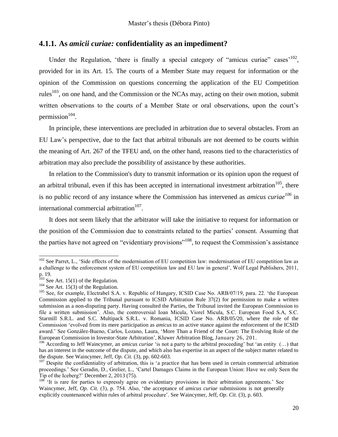### <span id="page-19-0"></span>**4.1.1. As** *amicii curiae:* **confidentiality as an impediment?**

Under the Regulation, 'there is finally a special category of "amicus curiae" cases<sup> $102$ </sup>, provided for in its Art. 15. The courts of a Member State may request for information or the opinion of the Commission on questions concerning the application of the EU Competition rules<sup>103</sup>, on one hand, and the Commission or the NCAs may, acting on their own motion, submit written observations to the courts of a Member State or oral observations, upon the court's permission $104$ .

In principle, these interventions are precluded in arbitration due to several obstacles. From an EU Law's perspective, due to the fact that arbitral tribunals are not deemed to be courts within the meaning of Art. 267 of the TFEU and, on the other hand, reasons tied to the characteristics of arbitration may also preclude the possibility of assistance by these authorities.

In relation to the Commission's duty to transmit information or its opinion upon the request of an arbitral tribunal, even if this has been accepted in international investment arbitration<sup>105</sup>, there is no public record of any instance where the Commission has intervened as *amicus curiae<sup>106</sup>* in international commercial arbitration<sup>107</sup>.

It does not seem likely that the arbitrator will take the initiative to request for information or the position of the Commission due to constraints related to the parties' consent. Assuming that the parties have not agreed on "evidentiary provisions"<sup>108</sup>, to request the Commission's assistance

 $102$  See Parret, L., 'Side effects of the modernisation of EU competition law: modernisation of EU competition law as a challenge to the enforcement system of EU competition law and EU law in general', Wolf Legal Publishers, 2011, p. 19.

 $103$  See Art. 15(1) of the Regulation.

 $104$  See Art. 15(3) of the Regulation.

<sup>&</sup>lt;sup>105</sup> See, for example, Electrabel S.A. v. Republic of Hungary, ICSID Case No. ARB/07/19, para. 22. 'the European Commission applied to the Tribunal pursuant to ICSID Arbitration Rule 37(2) for permission to make a written submission as a non-disputing party. Having consulted the Parties, the Tribunal invited the European Commission to file a written submission'. Also, the controversial Ioan Micula, Viorel Micula, S.C. European Food S.A, S.C. Starmill S.R.L. and S.C. Multipack S.R.L. v. Romania, ICSID Case No. ARB/05/20, where the role of the Commission 'evolved from its mere participation as *amicus* to an active stance against the enforcement of the ICSID award.' See González-Bueno, Carlos, Lozano, Laura, 'More Than a Friend of the Court: The Evolving Role of the European Commission in Investor-State Arbitration', Kluwer Arbitration Blog, January 26, 201.

<sup>106</sup> According to Jeff Waincymer, an *amicus curiae* 'is not a party to the arbitral proceeding' but 'an entity (…) that has an interest in the outcome of the dispute, and which also has expertise in an aspect of the subject matter related to the dispute. See Waincymer, Jeff, *Op. Cit.* (3), pp. 602-603.

<sup>&</sup>lt;sup>107</sup> Despite the confidentiality of arbitration, this is 'a practice that has been used in certain commercial arbitration proceedings.' See Geradin, D., Grelier, L., 'Cartel Damages Claims in the European Union: Have we only Seen the Tip of the Iceberg?' December 2, 2013 (75).

<sup>&</sup>lt;sup>108</sup> <sup>'It</sup> is rare for parties to expressly agree on evidentiary provisions in their arbitration agreements.' See Waincymer, Jeff, *Op. Cit.* (3), p. 754. Also, 'the acceptance of *amicus curiae* submissions is not generally explicitly countenanced within rules of arbitral procedure'. See Waincymer, Jeff, *Op. Cit.* (3), p. 603.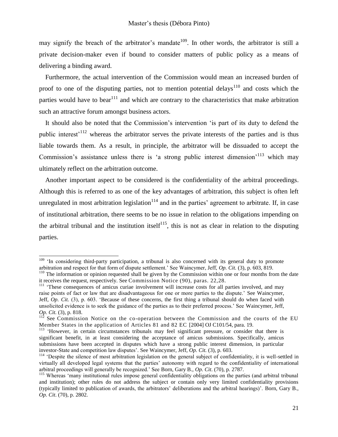may signify the breach of the arbitrator's mandate<sup>109</sup>. In other words, the arbitrator is still a private decision-maker even if bound to consider matters of public policy as a means of delivering a binding award.

Furthermore, the actual intervention of the Commission would mean an increased burden of proof to one of the disputing parties, not to mention potential delays<sup>110</sup> and costs which the parties would have to bear<sup>111</sup> and which are contrary to the characteristics that make arbitration such an attractive forum amongst business actors.

It should also be noted that the Commission's intervention 'is part of its duty to defend the public interest'<sup>112</sup> whereas the arbitrator serves the private interests of the parties and is thus liable towards them. As a result, in principle, the arbitrator will be dissuaded to accept the Commission's assistance unless there is 'a strong public interest dimension'<sup>113</sup> which may ultimately reflect on the arbitration outcome.

Another important aspect to be considered is the confidentiality of the arbitral proceedings. Although this is referred to as one of the key advantages of arbitration, this subject is often left unregulated in most arbitration legislation $114$  and in the parties' agreement to arbitrate. If, in case of institutional arbitration, there seems to be no issue in relation to the obligations impending on the arbitral tribunal and the institution itself<sup>115</sup>, this is not as clear in relation to the disputing parties.

<sup>&</sup>lt;sup>109</sup> 'In considering third-party participation, a tribunal is also concerned with its general duty to promote arbitration and respect for that form of dispute settlement.' See Waincymer, Jeff, *Op. Cit.* (3), p. 603, 819.

<sup>&</sup>lt;sup>110</sup> The information or opinion requested shall be given by the Commission within one or four months from the date it receives the request, respectively. See Commission Notice (90), paras. 22,28.

<sup>&</sup>lt;sup>111</sup> 'These consequences of amicus curiae involvement will increase costs for all parties involved, and may raise points of fact or law that are disadvantageous for one or more parties to the dispute.' See Waincymer, Jeff, *Op. Cit.* (3), p. 603. 'Because of these concerns, the first thing a tribunal should do when faced with unsolicited evidence is to seek the guidance of the parties as to their preferred process.' See Waincymer, Jeff, *Op. Cit.* (3), p. 818.

 $112$  See Commission Notice on the co-operation between the Commission and the courts of the EU Member States in the application of Articles 81 and 82 EC [2004] OJ C101/54, para. 19.

<sup>&</sup>lt;sup>113</sup> 'However, in certain circumstances tribunals may feel significant pressure, or consider that there is significant benefit, in at least considering the acceptance of amicus submissions. Specifically, amicus submissions have been accepted in disputes which have a strong public interest dimension, in particular investor-State and competition law disputes'. See Waincymer, Jeff, *Op. Cit.* (3), p. 603.

<sup>&</sup>lt;sup>114</sup> 'Despite the silence of most arbitration legislation on the general subject of confidentiality, it is well-settled in virtually all developed legal systems that the parties' autonomy with regard to the confidentiality of international arbitral proceedings will generally be recognized.' See Born, Gary B., *Op. Cit*. (70), p. 2787.

<sup>&</sup>lt;sup>115</sup> Whereas 'many institutional rules impose general confidentiality obligations on the parties (and arbitral tribunal and institution); other rules do not address the subject or contain only very limited confidentiality provisions (typically limited to publication of awards, the arbitrators' deliberations and the arbitral hearings)'. Born, Gary B., *Op. Cit*. (70), p. 2802.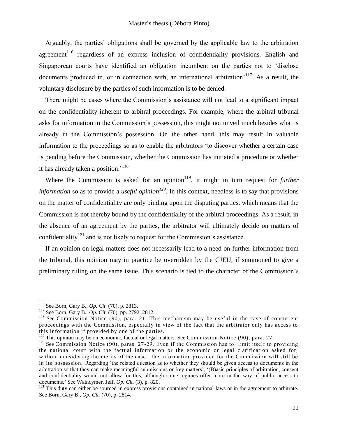Arguably, the parties' obligations shall be governed by the applicable law to the arbitration agreement<sup>116</sup> regardless of an express inclusion of confidentiality provisions. English and Singaporean courts have identified an obligation incumbent on the parties not to 'disclose documents produced in, or in connection with, an international arbitration<sup>-117</sup>. As a result, the voluntary disclosure by the parties of such information is to be denied.

There might be cases where the Commission's assistance will not lead to a significant impact on the confidentiality inherent to arbitral proceedings. For example, where the arbitral tribunal asks for information in the Commission's possession, this might not unveil much besides what is already in the Commission's possession. On the other hand, this may result in valuable information to the proceedings so as to enable the arbitrators 'to discover whether a certain case is pending before the Commission, whether the Commission has initiated a procedure or whether it has already taken a position.<sup>'118</sup>

Where the Commission is asked for an opinion<sup>119</sup>, it might in turn request for *further information* so as to provide a *useful opinion<sup>120</sup>* . In this context, needless is to say that provisions on the matter of confidentiality are only binding upon the disputing parties, which means that the Commission is not thereby bound by the confidentiality of the arbitral proceedings. As a result, in the absence of an agreement by the parties, the arbitrator will ultimately decide on matters of confidentiality<sup>121</sup> and is not likely to request for the Commission's assistance.

If an opinion on legal matters does not necessarily lead to a need on further information from the tribunal, this opinion may in practice be overridden by the CJEU, if summoned to give a preliminary ruling on the same issue. This scenario is tied to the character of the Commission's

<sup>116</sup> See Born, Gary B., *Op. Cit*. (70), p. 2813.

<sup>117</sup> See Born, Gary B., *Op. Cit.* (70), pp. 2792, 2812.

<sup>&</sup>lt;sup>118</sup> See Commission Notice (90), para. 21. This mechanism may be useful in the case of concurrent proceedings with the Commission, especially in view of the fact that the arbitrator only has access to this information if provided by one of the parties.

 $119$  This opinion may be on economic, factual or legal matters. See Commission Notice (90), para. 27.

 $120$  See Commission Notice (90), paras. 27-29. Even if the Commission has to 'limit itself to providing the national court with the factual information or the economic or legal clarification asked for, without considering the merits of the case', the information provided for the Commission will still be in its possession. Regarding 'the related question as to whether they should be given access to documents in the arbitration so that they can make meaningful submissions on key matters', '(B)asic principles of arbitration, consent and confidentiality would not allow for this, although some regimes offer more in the way of public access to documents.' See Waincymer, Jeff, *Op. Cit.* (3), p. 820.

<sup>&</sup>lt;sup>121</sup> This duty can either be sourced in express provisions contained in national laws or in the agreement to arbitrate. See Born, Gary B., *Op. Cit.* (70), p. 2814.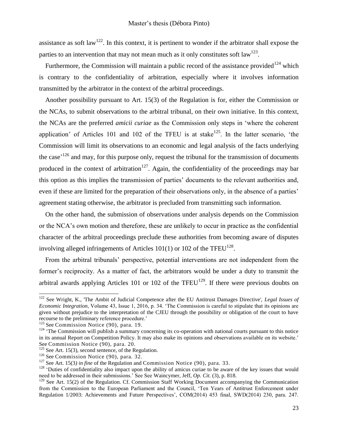assistance as soft law<sup>122</sup>. In this context, it is pertinent to wonder if the arbitrator shall expose the parties to an intervention that may not mean much as it only constitutes soft law<sup>123</sup>.

Furthermore, the Commission will maintain a public record of the assistance provided<sup>124</sup> which is contrary to the confidentiality of arbitration, especially where it involves information transmitted by the arbitrator in the context of the arbitral proceedings.

Another possibility pursuant to Art. 15(3) of the Regulation is for, either the Commission or the NCAs, to submit observations to the arbitral tribunal, on their own initiative. In this context, the NCAs are the preferred *amicii curiae* as the Commission only steps in 'where the coherent application' of Articles 101 and 102 of the TFEU is at stake $125$ . In the latter scenario, 'the Commission will limit its observations to an economic and legal analysis of the facts underlying the case<sup> $126$ </sup> and may, for this purpose only, request the tribunal for the transmission of documents produced in the context of arbitration<sup>127</sup>. Again, the confidentiality of the proceedings may bar this option as this implies the transmission of parties' documents to the relevant authorities and, even if these are limited for the preparation of their observations only, in the absence of a parties' agreement stating otherwise, the arbitrator is precluded from transmitting such information.

On the other hand, the submission of observations under analysis depends on the Commission or the NCA's own motion and therefore, these are unlikely to occur in practice as the confidential character of the arbitral proceedings preclude these authorities from becoming aware of disputes involving alleged infringements of Articles  $101(1)$  or  $102$  of the TFEU<sup>128</sup>.

From the arbitral tribunals' perspective, potential interventions are not independent from the former's reciprocity. As a matter of fact, the arbitrators would be under a duty to transmit the arbitral awards applying Articles 101 or 102 of the TFEU<sup>129</sup>. If there were previous doubts on

<sup>122</sup> See Wright, K., 'The Ambit of Judicial Competence after the EU Antitrust Damages Directive', *Legal Issues of Economic Integration*, Volume 43, Issue 1, 2016, p. 34. 'The Commission is careful to stipulate that its opinions are given without prejudice to the interpretation of the CJEU through the possibility or obligation of the court to have recourse to the preliminary reference procedure.'

<sup>&</sup>lt;sup>123</sup> See Commission Notice (90), para. 19.

 $124$  'The Commission will publish a summary concerning its co-operation with national courts pursuant to this notice in its annual Report on Competition Policy. It may also make its opinions and observations available on its website.' See Commission Notice (90), para. 20.

 $125$  See Art. 15(3), second sentence, of the Regulation.

 $126$  See Commission Notice (90), para. 32.

<sup>127</sup> See Art. 15(3*) in fine* of the Regulation and Commission Notice (90), para. 33.

 $128$  'Duties of confidentiality also impact upon the ability of amicus curiae to be aware of the key issues that would need to be addressed in their submissions.' See See Waincymer, Jeff, *Op. Cit.* (3), p. 818.

<sup>&</sup>lt;sup>129</sup> See Art. 15(2) of the Regulation. Cf. Commission Staff Working Document accompanying the Communication from the Commission to the European Parliament and the Council, 'Ten Years of Antitrust Enforcement under Regulation 1/2003: Achievements and Future Perspectives', COM(2014) 453 final, SWD(2014) 230, para. 247.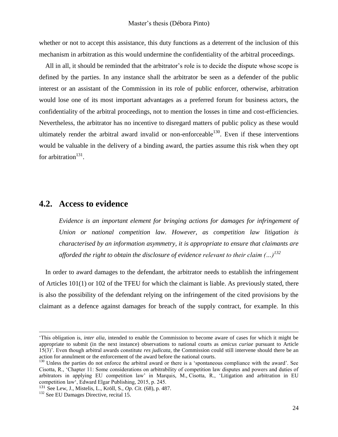whether or not to accept this assistance, this duty functions as a deterrent of the inclusion of this mechanism in arbitration as this would undermine the confidentiality of the arbitral proceedings.

All in all, it should be reminded that the arbitrator's role is to decide the dispute whose scope is defined by the parties. In any instance shall the arbitrator be seen as a defender of the public interest or an assistant of the Commission in its role of public enforcer, otherwise, arbitration would lose one of its most important advantages as a preferred forum for business actors, the confidentiality of the arbitral proceedings, not to mention the losses in time and cost-efficiencies. Nevertheless, the arbitrator has no incentive to disregard matters of public policy as these would ultimately render the arbitral award invalid or non-enforceable<sup>130</sup>. Even if these interventions would be valuable in the delivery of a binding award, the parties assume this risk when they opt for arbitration $131$ .

### <span id="page-23-0"></span>**4.2. Access to evidence**

*Evidence is an important element for bringing actions for damages for infringement of Union or national competition law. However, as competition law litigation is characterised by an information asymmetry, it is appropriate to ensure that claimants are afforded the right to obtain the disclosure of evidence relevant to their claim (…)<sup>132</sup>*

In order to award damages to the defendant, the arbitrator needs to establish the infringement of Articles 101(1) or 102 of the TFEU for which the claimant is liable. As previously stated, there is also the possibility of the defendant relying on the infringement of the cited provisions by the claimant as a defence against damages for breach of the supply contract, for example. In this

-

<sup>&#</sup>x27;This obligation is, *inter alia*, intended to enable the Commission to become aware of cases for which it might be appropriate to submit (in the next instance) observations to national courts as *amicus curiae* pursuant to Article 15(3)'. Even though arbitral awards constitute *res judicata*, the Commission could still intervene should there be an action for annulment or the enforcement of the award before the national courts.

<sup>&</sup>lt;sup>130</sup> Unless the parties do not enforce the arbitral award or there is a 'spontaneous compliance with the award'. See Cisotta, R., 'Chapter 11: Some considerations on arbitrability of competition law disputes and powers and duties of arbitrators in applying EU competition law' in Marquis, M., Cisotta, R., 'Litigation and arbitration in EU competition law', Edward Elgar Publishing, 2015, p. 245.

<sup>131</sup> See Lew, J., Mistelis, L., Kröll, S., *Op. Cit.* (68), p. 487.

<sup>&</sup>lt;sup>132</sup> See EU Damages Directive, recital 15.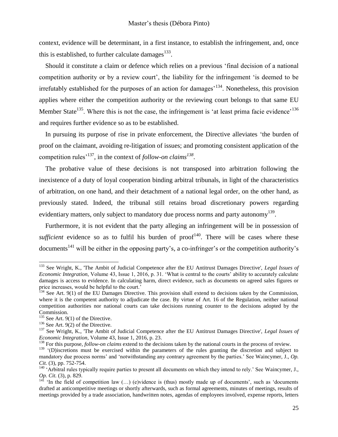context, evidence will be determinant, in a first instance, to establish the infringement, and, once this is established, to further calculate damages $^{133}$ .

Should it constitute a claim or defence which relies on a previous 'final decision of a national competition authority or by a review court', the liability for the infringement 'is deemed to be irrefutably established for the purposes of an action for damages<sup> $134$ </sup>. Nonetheless, this provision applies where either the competition authority or the reviewing court belongs to that same EU Member State<sup>135</sup>. Where this is not the case, the infringement is 'at least prima facie evidence'<sup>136</sup> and requires further evidence so as to be established.

In pursuing its purpose of rise in private enforcement, the Directive alleviates 'the burden of proof on the claimant, avoiding re-litigation of issues; and promoting consistent application of the competition rules'<sup>137</sup>, in the context of *follow-on claims<sup>138</sup>* .

The probative value of these decisions is not transposed into arbitration following the inexistence of a duty of loyal cooperation binding arbitral tribunals, in light of the characteristics of arbitration, on one hand, and their detachment of a national legal order, on the other hand, as previously stated. Indeed, the tribunal still retains broad discretionary powers regarding evidentiary matters, only subject to mandatory due process norms and party autonomy<sup>139</sup>.

Furthermore, it is not evident that the party alleging an infringement will be in possession of sufficient evidence so as to fulfil his burden of  $proof<sup>140</sup>$ . There will be cases where these documents<sup>141</sup> will be either in the opposing party's, a co-infringer's or the competition authority's

<sup>133</sup> See Wright, K., 'The Ambit of Judicial Competence after the EU Antitrust Damages Directive', *Legal Issues of Economic Integration*, Volume 43, Issue 1, 2016, p. 31. 'What is central to the courts' ability to accurately calculate damages is access to evidence. In calculating harm, direct evidence, such as documents on agreed sales figures or price increases, would be helpful to the court.'

<sup>&</sup>lt;sup>134</sup> See Art. 9(1) of the EU Damages Directive. This provision shall extend to decisions taken by the Commission, where it is the competent authority to adjudicate the case. By virtue of Art. 16 of the Regulation, neither national competition authorities nor national courts can take decisions running counter to the decisions adopted by the Commission.

 $135$  See Art. 9(1) of the Directive.

 $136$  See Art. 9(2) of the Directive.

<sup>137</sup> See Wright, K., 'The Ambit of Judicial Competence after the EU Antitrust Damages Directive', *Legal Issues of Economic Integration*, Volume 43, Issue 1, 2016, p. 23.

<sup>&</sup>lt;sup>138</sup> For this purpose, *follow-on claims* extend to the decisions taken by the national courts in the process of review.

<sup>&</sup>lt;sup>139</sup> '(D)iscretions must be exercised within the parameters of the rules granting the discretion and subject to mandatory due process norms' and 'notwithstanding any contrary agreement by the parties.' See Waincymer, J., *Op. Cit.* (3), pp. 752-754.

<sup>&</sup>lt;sup>140</sup> 'Arbitral rules typically require parties to present all documents on which they intend to rely.' See Waincymer, J., *Op. Cit.* (3), p. 829.

<sup>&</sup>lt;sup>141</sup> 'In the field of competition law  $(...)$  (e)vidence is (thus) mostly made up of documents', such as 'documents' drafted at anticompetitive meetings or shortly afterwards, such as formal agreements, minutes of meetings, results of meetings provided by a trade association, handwritten notes, agendas of employees involved, expense reports, letters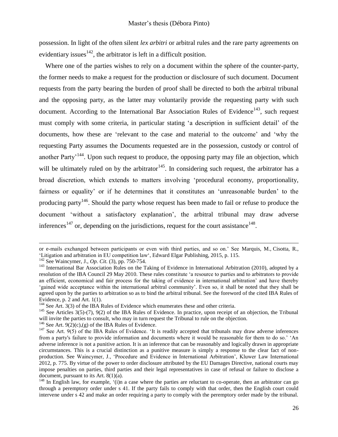possession. In light of the often silent *lex arbitri* or arbitral rules and the rare party agreements on evidentiary issues  $142$ , the arbitrator is left in a difficult position.

Where one of the parties wishes to rely on a document within the sphere of the counter-party, the former needs to make a request for the production or disclosure of such document. Document requests from the party bearing the burden of proof shall be directed to both the arbitral tribunal and the opposing party, as the latter may voluntarily provide the requesting party with such document. According to the International Bar Association Rules of Evidence<sup>143</sup>, such request must comply with some criteria, in particular stating 'a description in sufficient detail' of the documents, how these are 'relevant to the case and material to the outcome' and 'why the requesting Party assumes the Documents requested are in the possession, custody or control of another Party<sup>144</sup>. Upon such request to produce, the opposing party may file an objection, which will be ultimately ruled on by the arbitrator<sup>145</sup>. In considering such request, the arbitrator has a broad discretion, which extends to matters involving 'procedural economy, proportionality, fairness or equality' or if he determines that it constitutes an 'unreasonable burden' to the producing party<sup>146</sup>. Should the party whose request has been made to fail or refuse to produce the document 'without a satisfactory explanation', the arbitral tribunal may draw adverse inferences<sup>147</sup> or, depending on the jurisdictions, request for the court assistance<sup>148</sup>.

-

or e-mails exchanged between participants or even with third parties, and so on.' See Marquis, M., Cisotta, R., 'Litigation and arbitration in EU competition law', Edward Elgar Publishing, 2015, p. 115.

<sup>142</sup> See Waincymer, J., *Op. Cit.* (3), pp. 750-754.

<sup>&</sup>lt;sup>143</sup> International Bar Association Rules on the Taking of Evidence in International Arbitration (2010), adopted by a resolution of the IBA Council 29 May 2010. These rules constitute 'a resource to parties and to arbitrators to provide an efficient, economical and fair process for the taking of evidence in international arbitration' and have thereby 'gained wide acceptance within the international arbitral community'. Even so, it shall be noted that they shall be agreed upon by the parties to arbitration so as to bind the arbitral tribunal. See the foreword of the cited IBA Rules of Evidence, p. 2 and Art. 1(1).

<sup>&</sup>lt;sup>144</sup> See Art. 3(3) of the IBA Rules of Evidence which enumerates these and other criteria.

<sup>&</sup>lt;sup>145</sup> See Articles 3(5)-(7), 9(2) of the IBA Rules of Evidence. In practice, upon receipt of an objection, the Tribunal will invite the parties to consult, who may in turn request the Tribunal to rule on the objection.

<sup>&</sup>lt;sup>146</sup> See Art. 9(2)(c),(g) of the IBA Rules of Evidence.

 $147$  See Art. 9(5) of the IBA Rules of Evidence. 'It is readily accepted that tribunals may draw adverse inferences from a party's failure to provide information and documents where it would be reasonable for them to do so.' 'An adverse inference is not a punitive action. It is an inference that can be reasonably and logically drawn in appropriate circumstances. This is a crucial distinction as a punitive measure is simply a response to the clear fact of nonproduction. See Waincymer, J., 'Procedure and Evidence in International Arbitration', Kluwer Law International 2012, p. 775. By virtue of the power to order disclosure attributed by the EU Damages Directive, national courts may impose penalties on parties, third parties and their legal representatives in case of refusal or failure to disclose a document, pursuant to its Art. 8(1)(a).

<sup>&</sup>lt;sup>148</sup> In English law, for example, '(i)n a case where the parties are reluctant to co-operate, then an arbitrator can go through a peremptory order under s 41. If the party fails to comply with that order, then the English court could intervene under s 42 and make an order requiring a party to comply with the peremptory order made by the tribunal.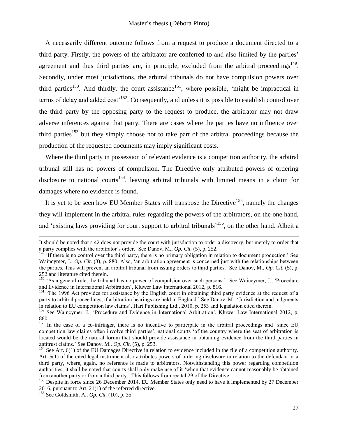A necessarily different outcome follows from a request to produce a document directed to a third party. Firstly, the powers of the arbitrator are conferred to and also limited by the parties' agreement and thus third parties are, in principle, excluded from the arbitral proceedings $149$ . Secondly, under most jurisdictions, the arbitral tribunals do not have compulsion powers over third parties<sup>150</sup>. And thirdly, the court assistance<sup>151</sup>, where possible, 'might be impractical in terms of delay and added  $cost'$ <sup>152</sup>. Consequently, and unless it is possible to establish control over the third party by the opposing party to the request to produce, the arbitrator may not draw adverse inferences against that party. There are cases where the parties have no influence over third parties<sup>153</sup> but they simply choose not to take part of the arbitral proceedings because the production of the requested documents may imply significant costs.

Where the third party in possession of relevant evidence is a competition authority, the arbitral tribunal still has no powers of compulsion. The Directive only attributed powers of ordering disclosure to national courts<sup>154</sup>, leaving arbitral tribunals with limited means in a claim for damages where no evidence is found.

It is yet to be seen how EU Member States will transpose the Directive<sup>155</sup>, namely the changes they will implement in the arbitral rules regarding the powers of the arbitrators, on the one hand, and 'existing laws providing for court support to arbitral tribunals<sup>156</sup>, on the other hand. Albeit a

-

It should be noted that s 42 does not provide the court with jurisdiction to order a discovery, but merely to order that a party complies with the arbitrator's order.' See Danov, M., *Op. Cit.* (5), p. 252.

 $14\overline{9}$  'If there is no control over the third party, there is no primary obligation in relation to document production.' See Waincymer, J., *Op. Cit.* (3), p. 880. Also, 'an arbitration agreement is concerned just with the relationships between the parties. This will prevent an arbitral tribunal from issuing orders to third parties.' See Danov, M., *Op. Cit.* (5), p. 252 and literature cited therein.

<sup>&</sup>lt;sup>150</sup> 'As a general rule, the tribunal has no power of compulsion over such persons.' See Waincymer, J., 'Procedure and Evidence in International Arbitration', Kluwer Law International 2012, p. 816.

<sup>&</sup>lt;sup>151</sup> 'The 1996 Act provides for assistance by the English court in obtaining third party evidence at the request of a party to arbitral proceedings, if arbitration hearings are held in England.' See Danov, M., 'Jurisdiction and judgments in relation to EU competition law claims', Hart Publishing Ltd., 2010, p. 253 and legislation cited therein.

<sup>&</sup>lt;sup>152</sup> See Waincymer, J., 'Procedure and Evidence in International Arbitration', Kluwer Law International 2012, p. 880.

<sup>&</sup>lt;sup>153</sup> In the case of a co-infringer, there is no incentive to participate in the arbitral proceedings and 'since EU competition law claims often involve third parties', national courts 'of the country where the seat of arbitration is located would be the natural forum that should provide assistance in obtaining evidence from the third parties in antitrust claims.' See Danov, M., *Op. Cit.* (5), p. 253.

 $154$  See Art.  $6(1)$  of the EU Damages Directive in relation to evidence included in the file of a competition authority. Art. 5(1) of the cited legal instrument also attributes powers of ordering disclosure in relation to the defendant or a third party, where, again, no reference is made to arbitrators. Notwithstanding this power regarding competition authorities, it shall be noted that courts shall only make use of it 'when that evidence cannot reasonably be obtained from another party or from a third party.' This follows from recital 29 of the Directive.

<sup>&</sup>lt;sup>155</sup> Despite in force since 26 December 2014, EU Member States only need to have it implemented by 27 December 2016, pursuant to Art. 21(1) of the referred directive.

<sup>156</sup> See Goldsmith, A., *Op. Cit.* (10), p. 35.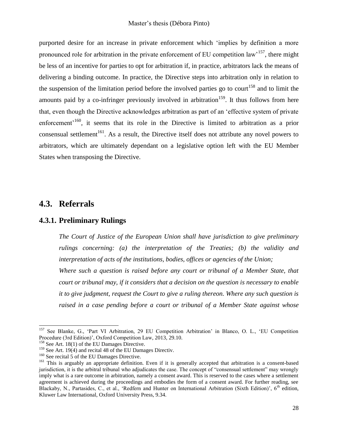purported desire for an increase in private enforcement which 'implies by definition a more pronounced role for arbitration in the private enforcement of EU competition law<sup>157</sup>, there might be less of an incentive for parties to opt for arbitration if, in practice, arbitrators lack the means of delivering a binding outcome. In practice, the Directive steps into arbitration only in relation to the suspension of the limitation period before the involved parties go to court<sup>158</sup> and to limit the amounts paid by a co-infringer previously involved in arbitration<sup>159</sup>. It thus follows from here that, even though the Directive acknowledges arbitration as part of an 'effective system of private enforcement<sup>'160</sup>, it seems that its role in the Directive is limited to arbitration as a prior consensual settlement<sup>161</sup>. As a result, the Directive itself does not attribute any novel powers to arbitrators, which are ultimately dependant on a legislative option left with the EU Member States when transposing the Directive.

## <span id="page-27-0"></span>**4.3. Referrals**

ı

#### <span id="page-27-1"></span>**4.3.1. Preliminary Rulings**

*The Court of Justice of the European Union shall have jurisdiction to give preliminary rulings concerning: (a) the interpretation of the Treaties; (b) the validity and interpretation of acts of the institutions, bodies, offices or agencies of the Union;*

Where such a question is raised before any court or tribunal of a Member State, that *court or tribunal may, if it considers that a decision on the question is necessary to enable it to give judgment, request the Court to give a ruling thereon. Where any such question is raised in a case pending before a court or tribunal of a Member State against whose* 

<sup>&</sup>lt;sup>157</sup> See Blanke, G., 'Part VI Arbitration, 29 EU Competition Arbitration' in Blanco, O. L., 'EU Competition Procedure (3rd Edition)', Oxford Competition Law, 2013, 29.10.

<sup>&</sup>lt;sup>158</sup> See Art. 18(1) of the EU Damages Directive.

<sup>&</sup>lt;sup>159</sup> See Art. 19(4) and recital 48 of the EU Damages Directiv.

<sup>&</sup>lt;sup>160</sup> See recital 5 of the EU Damages Directive.

<sup>&</sup>lt;sup>161</sup> This is arguably an appropriate definition. Even if it is generally accepted that arbitration is a consent-based jurisdiction, it is the arbitral tribunal who adjudicates the case. The concept of "consensual settlement" may wrongly imply what is a rare outcome in arbitration, namely a consent award. This is reserved to the cases where a settlement agreement is achieved during the proceedings and embodies the form of a consent award. For further reading, see Blackaby, N., Partasides, C., et al., 'Redfern and Hunter on International Arbitration (Sixth Edition)', 6<sup>th</sup> edition, Kluwer Law International, Oxford University Press, 9.34.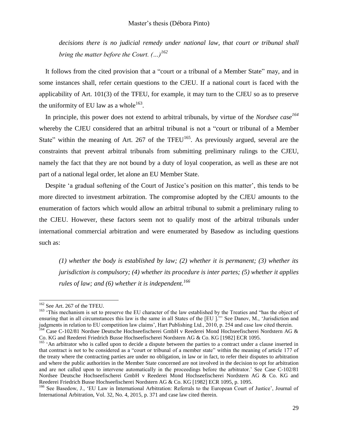*decisions there is no judicial remedy under national law, that court or tribunal shall bring the matter before the Court. (…)<sup>162</sup>*

It follows from the cited provision that a "court or a tribunal of a Member State" may, and in some instances shall, refer certain questions to the CJEU. If a national court is faced with the applicability of Art. 101(3) of the TFEU, for example, it may turn to the CJEU so as to preserve the uniformity of EU law as a whole<sup>163</sup>.

In principle, this power does not extend to arbitral tribunals, by virtue of the *Nordsee case<sup>164</sup>* whereby the CJEU considered that an arbitral tribunal is not a "court or tribunal of a Member State" within the meaning of Art. 267 of the TFEU $<sup>165</sup>$ . As previously argued, several are the</sup> constraints that prevent arbitral tribunals from submitting preliminary rulings to the CJEU, namely the fact that they are not bound by a duty of loyal cooperation, as well as these are not part of a national legal order, let alone an EU Member State.

Despite 'a gradual softening of the Court of Justice's position on this matter', this tends to be more directed to investment arbitration. The compromise adopted by the CJEU amounts to the enumeration of factors which would allow an arbitral tribunal to submit a preliminary ruling to the CJEU. However, these factors seem not to qualify most of the arbitral tribunals under international commercial arbitration and were enumerated by Basedow as including questions such as:

*(1) whether the body is established by law; (2) whether it is permanent; (3) whether its jurisdiction is compulsory; (4) whether its procedure is inter partes; (5) whether it applies rules of law; and (6) whether it is independent.<sup>166</sup>*

<sup>&</sup>lt;sup>162</sup> See Art. 267 of the TFEU.

<sup>&</sup>lt;sup>163</sup> 'This mechanism is set to preserve the EU character of the law established by the Treaties and "has the object of ensuring that in all circumstances this law is the same in all States of the [EU ]."' See Danov, M., 'Jurisdiction and judgments in relation to EU competition law claims', Hart Publishing Ltd., 2010, p. 254 and case law cited therein. <sup>164</sup> Case C-102/81 Nordsee Deutsche Hochseefischerei GmbH v Reederei Mond Hochseefischerei Nordstern AG &

Co. KG and Reederei Friedrich Busse Hochseefischerei Nordstern AG & Co. KG [1982] ECR 1095.

<sup>&</sup>lt;sup>165</sup> 'An arbitrator who is called upon to decide a dispute between the parties to a contract under a clause inserted in that contract is not to be considered as a "court or tribunal of a member state" within the meaning of article 177 of the treaty where the contracting parties are under no obligation, in law or in fact, to refer their disputes to arbitration and where the public authorities in the Member State concerned are not involved in the decision to opt for arbitration and are not called upon to intervene automatically in the proceedings before the arbitrator.' See Case C-102/81 Nordsee Deutsche Hochseefischerei GmbH v Reederei Mond Hochseefischerei Nordstern AG & Co. KG and Reederei Friedrich Busse Hochseefischerei Nordstern AG & Co. KG [1982] ECR 1095, p. 1095.

<sup>&</sup>lt;sup>166</sup> See Basedow, J., 'EU Law in International Arbitration: Referrals to the European Court of Justice', Journal of International Arbitration, Vol. 32, No. 4, 2015, p. 371 and case law cited therein.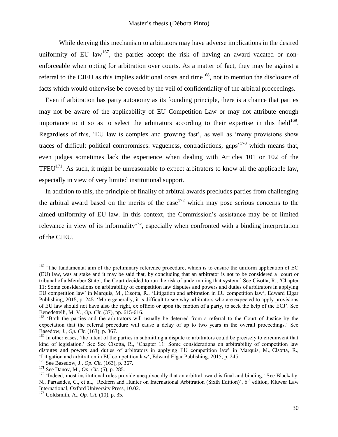While denying this mechanism to arbitrators may have adverse implications in the desired uniformity of EU law<sup>167</sup>, the parties accept the risk of having an award vacated or nonenforceable when opting for arbitration over courts. As a matter of fact, they may be against a referral to the CJEU as this implies additional costs and time<sup>168</sup>, not to mention the disclosure of facts which would otherwise be covered by the veil of confidentiality of the arbitral proceedings.

Even if arbitration has party autonomy as its founding principle, there is a chance that parties may not be aware of the applicability of EU Competition Law or may not attribute enough importance to it so as to select the arbitrators according to their expertise in this field<sup>169</sup>. Regardless of this, 'EU law is complex and growing fast', as well as 'many provisions show traces of difficult political compromises: vagueness, contradictions, gaps'<sup>170</sup> which means that, even judges sometimes lack the experience when dealing with Articles 101 or 102 of the TFEU<sup>171</sup>. As such, it might be unreasonable to expect arbitrators to know all the applicable law, especially in view of very limited institutional support.

In addition to this, the principle of finality of arbitral awards precludes parties from challenging the arbitral award based on the merits of the case<sup>172</sup> which may pose serious concerns to the aimed uniformity of EU law. In this context, the Commission's assistance may be of limited relevance in view of its informality<sup>173</sup>, especially when confronted with a binding interpretation of the CJEU.

 $167$  'The fundamental aim of the preliminary reference procedure, which is to ensure the uniform application of EC (EU) law, was at stake and it may be said that, by concluding that an arbitrator is not to be considered a 'court or tribunal of a Member State', the Court decided to run the risk of undermining that system.' See Cisotta, R., 'Chapter 11: Some considerations on arbitrability of competition law disputes and powers and duties of arbitrators in applying EU competition law' in Marquis, M., Cisotta, R., 'Litigation and arbitration in EU competition law', Edward Elgar Publishing, 2015, p. 245. 'More generally, it is difficult to see why arbitrators who are expected to apply provisions of EU law should not have also the right, ex officio or upon the motion of a party, to seek the help of the ECJ'. See Benedettelli, M. V., *Op. Cit.* (37), pp. 615-616.

<sup>&</sup>lt;sup>168</sup> 'Both the parties and the arbitrators will usually be deterred from a referral to the Court of Justice by the expectation that the referral procedure will cause a delay of up to two years in the overall proceedings.' See Basedow, J., *Op. Cit.* (163), p. 367.

<sup>&</sup>lt;sup>169</sup> In other cases, 'the intent of the parties in submitting a dispute to arbitrators could be precisely to circumvent that kind of legislation.' See See Cisotta, R., 'Chapter 11: Some considerations on arbitrability of competition law disputes and powers and duties of arbitrators in applying EU competition law' in Marquis, M., Cisotta, R., 'Litigation and arbitration in EU competition law', Edward Elgar Publishing, 2015, p. 245.

<sup>170</sup> See Basedow, J., *Op. Cit.* (163), p. 367.

<sup>171</sup> See Danov, M., *Op. Cit.* (5), p. 285.

 $172$  'Indeed, most institutional rules provide unequivocally that an arbitral award is final and binding.' See Blackaby, N., Partasides, C., et al., 'Redfern and Hunter on International Arbitration (Sixth Edition)', 6<sup>th</sup> edition, Kluwer Law International, Oxford University Press, 10.02.

<sup>173</sup> Goldsmith, A., *Op. Cit.* (10), p. 35.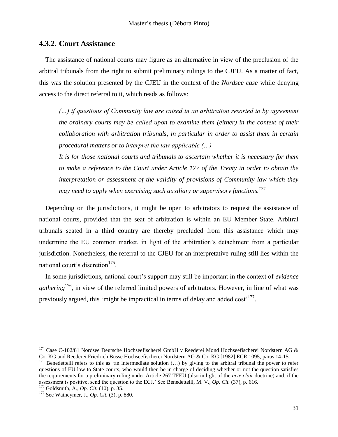#### <span id="page-30-0"></span>**4.3.2. Court Assistance**

The assistance of national courts may figure as an alternative in view of the preclusion of the arbitral tribunals from the right to submit preliminary rulings to the CJEU. As a matter of fact, this was the solution presented by the CJEU in the context of the *Nordsee case* while denying access to the direct referral to it, which reads as follows:

*(…) if questions of Community law are raised in an arbitration resorted to by agreement the ordinary courts may be called upon to examine them (either) in the context of their collaboration with arbitration tribunals, in particular in order to assist them in certain procedural matters or to interpret the law applicable (…)*

*It is for those national courts and tribunals to ascertain whether it is necessary for them to make a reference to the Court under Article 177 of the Treaty in order to obtain the interpretation or assessment of the validity of provisions of Community law which they may need to apply when exercising such auxiliary or supervisory functions. 174*

Depending on the jurisdictions, it might be open to arbitrators to request the assistance of national courts, provided that the seat of arbitration is within an EU Member State. Arbitral tribunals seated in a third country are thereby precluded from this assistance which may undermine the EU common market, in light of the arbitration's detachment from a particular jurisdiction. Nonetheless, the referral to the CJEU for an interpretative ruling still lies within the national court's discretion<sup>175</sup>.

In some jurisdictions, national court's support may still be important in the context of *evidence gathering*<sup>176</sup>, in view of the referred limited powers of arbitrators. However, in line of what was previously argued, this 'might be impractical in terms of delay and added cost'<sup>177</sup>.

 $174$  Case C-102/81 Nordsee Deutsche Hochseefischerei GmbH v Reederei Mond Hochseefischerei Nordstern AG & Co. KG and Reederei Friedrich Busse Hochseefischerei Nordstern AG & Co. KG [1982] ECR 1095, paras 14-15.

<sup>&</sup>lt;sup>175</sup> Benedettelli refers to this as 'an intermediate solution  $(...)$  by giving to the arbitral tribunal the power to refer questions of EU law to State courts, who would then be in charge of deciding whether or not the question satisfies the requirements for a preliminary ruling under Article 267 TFEU (also in light of the *acte clair* doctrine) and, if the assessment is positive, send the question to the ECJ.' See Benedettelli, M. V., *Op. Cit.* (37), p. 616.

<sup>176</sup> Goldsmith, A., *Op. Cit.* (10), p. 35.

<sup>177</sup> See Waincymer, J., *Op. Cit.* (3), p. 880.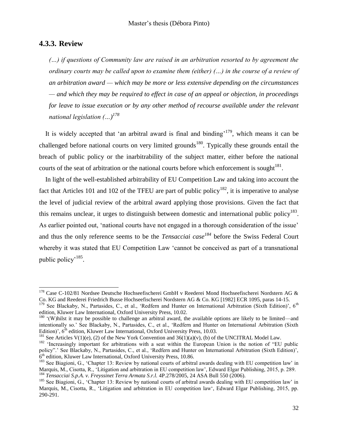### <span id="page-31-0"></span>**4.3.3. Review**

ı

*(…) if questions of Community law are raised in an arbitration resorted to by agreement the ordinary courts may be called upon to examine them (either) (…) in the course of a review of an arbitration award — which may be more or less extensive depending on the circumstances — and which they may be required to effect in case of an appeal or objection, in proceedings for leave to issue execution or by any other method of recourse available under the relevant national legislation (…) 178*

It is widely accepted that 'an arbitral award is final and binding<sup>, 179</sup>, which means it can be challenged before national courts on very limited grounds<sup>180</sup>. Typically these grounds entail the breach of public policy or the inarbitrability of the subject matter, either before the national courts of the seat of arbitration or the national courts before which enforcement is sought  $181$ .

In light of the well-established arbitrability of EU Competition Law and taking into account the fact that Articles 101 and 102 of the TFEU are part of public policy<sup>182</sup>, it is imperative to analyse the level of judicial review of the arbitral award applying those provisions. Given the fact that this remains unclear, it urges to distinguish between domestic and international public policy<sup>183</sup>. As earlier pointed out, 'national courts have not engaged in a thorough consideration of the issue' and thus the only reference seems to be the *Tensacciai case<sup>184</sup>* before the Swiss Federal Court whereby it was stated that EU Competition Law 'cannot be conceived as part of a transnational public policy<sup>, 185</sup>.

 $178$  Case C-102/81 Nordsee Deutsche Hochseefischerei GmbH v Reederei Mond Hochseefischerei Nordstern AG & Co. KG and Reederei Friedrich Busse Hochseefischerei Nordstern AG & Co. KG [1982] ECR 1095, paras 14-15.

 $179$  See Blackaby, N., Partasides, C., et al., 'Redfern and Hunter on International Arbitration (Sixth Edition)', 6<sup>th</sup> edition, Kluwer Law International, Oxford University Press, 10.02.

 $180$  '(W)hilst it may be possible to challenge an arbitral award, the available options are likely to be limited—and intentionally so.' See Blackaby, N., Partasides, C., et al., 'Redfern and Hunter on International Arbitration (Sixth Edition)',  $6<sup>th</sup>$  edition, Kluwer Law International, Oxford University Press, 10.03.

<sup>&</sup>lt;sup>181</sup> See Articles V(1)(e), (2) of the New York Convention and  $36(1)(a)(v)$ , (b) of the UNCITRAL Model Law.

<sup>&</sup>lt;sup>182</sup> 'Increasingly important for arbitrations with a seat within the European Union is the notion of "EU public policy".' See Blackaby, N., Partasides, C., et al., 'Redfern and Hunter on International Arbitration (Sixth Edition)', 6<sup>th</sup> edition, Kluwer Law International, Oxford University Press, 10.86.

<sup>&</sup>lt;sup>183</sup> See Biagioni, G., 'Chapter 13: Review by national courts of arbitral awards dealing with EU competition law' in Marquis, M., Cisotta, R., 'Litigation and arbitration in EU competition law', Edward Elgar Publishing, 2015, p. 289. <sup>184</sup> *Tensacciai S.p.A. v. Freyssinet Terra Armata S.r.l.* 4P.278/2005, 24 ASA Bull 550 (2006).

<sup>&</sup>lt;sup>185</sup> See Biagioni, G., 'Chapter 13: Review by national courts of arbitral awards dealing with EU competition law' in Marquis, M., Cisotta, R., 'Litigation and arbitration in EU competition law', Edward Elgar Publishing, 2015, pp. 290-291.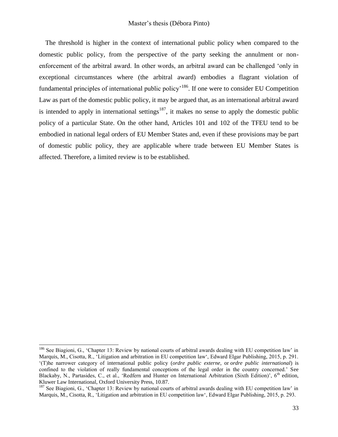The threshold is higher in the context of international public policy when compared to the domestic public policy, from the perspective of the party seeking the annulment or nonenforcement of the arbitral award. In other words, an arbitral award can be challenged 'only in exceptional circumstances where (the arbitral award) embodies a flagrant violation of fundamental principles of international public policy<sup>, 186</sup>. If one were to consider EU Competition Law as part of the domestic public policy, it may be argued that, as an international arbitral award is intended to apply in international settings<sup>187</sup>, it makes no sense to apply the domestic public policy of a particular State. On the other hand, Articles 101 and 102 of the TFEU tend to be embodied in national legal orders of EU Member States and, even if these provisions may be part of domestic public policy, they are applicable where trade between EU Member States is affected. Therefore, a limited review is to be established.

<sup>&</sup>lt;sup>186</sup> See Biagioni, G., 'Chapter 13: Review by national courts of arbitral awards dealing with EU competition law' in Marquis, M., Cisotta, R., 'Litigation and arbitration in EU competition law', Edward Elgar Publishing, 2015, p. 291. '(T)he narrower category of international public policy (*ordre public externe*, or *ordre public international*) is confined to the violation of really fundamental conceptions of the legal order in the country concerned.' See Blackaby, N., Partasides, C., et al., 'Redfern and Hunter on International Arbitration (Sixth Edition)',  $6<sup>th</sup>$  edition, Kluwer Law International, Oxford University Press, 10.87.

 $187$  See Biagioni, G., 'Chapter 13: Review by national courts of arbitral awards dealing with EU competition law' in Marquis, M., Cisotta, R., 'Litigation and arbitration in EU competition law', Edward Elgar Publishing, 2015, p. 293.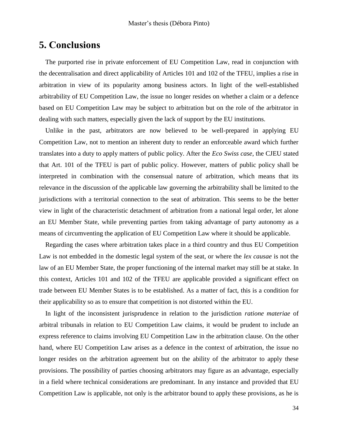## <span id="page-33-0"></span>**5. Conclusions**

The purported rise in private enforcement of EU Competition Law, read in conjunction with the decentralisation and direct applicability of Articles 101 and 102 of the TFEU, implies a rise in arbitration in view of its popularity among business actors. In light of the well-established arbitrability of EU Competition Law, the issue no longer resides on whether a claim or a defence based on EU Competition Law may be subject to arbitration but on the role of the arbitrator in dealing with such matters, especially given the lack of support by the EU institutions.

Unlike in the past, arbitrators are now believed to be well-prepared in applying EU Competition Law, not to mention an inherent duty to render an enforceable award which further translates into a duty to apply matters of public policy. After the *Eco Swiss case*, the CJEU stated that Art. 101 of the TFEU is part of public policy. However, matters of public policy shall be interpreted in combination with the consensual nature of arbitration, which means that its relevance in the discussion of the applicable law governing the arbitrability shall be limited to the jurisdictions with a territorial connection to the seat of arbitration. This seems to be the better view in light of the characteristic detachment of arbitration from a national legal order, let alone an EU Member State, while preventing parties from taking advantage of party autonomy as a means of circumventing the application of EU Competition Law where it should be applicable.

Regarding the cases where arbitration takes place in a third country and thus EU Competition Law is not embedded in the domestic legal system of the seat, or where the *lex causae* is not the law of an EU Member State, the proper functioning of the internal market may still be at stake. In this context, Articles 101 and 102 of the TFEU are applicable provided a significant effect on trade between EU Member States is to be established. As a matter of fact, this is a condition for their applicability so as to ensure that competition is not distorted within the EU.

In light of the inconsistent jurisprudence in relation to the jurisdiction *ratione materiae* of arbitral tribunals in relation to EU Competition Law claims, it would be prudent to include an express reference to claims involving EU Competition Law in the arbitration clause. On the other hand, where EU Competition Law arises as a defence in the context of arbitration, the issue no longer resides on the arbitration agreement but on the ability of the arbitrator to apply these provisions. The possibility of parties choosing arbitrators may figure as an advantage, especially in a field where technical considerations are predominant. In any instance and provided that EU Competition Law is applicable, not only is the arbitrator bound to apply these provisions, as he is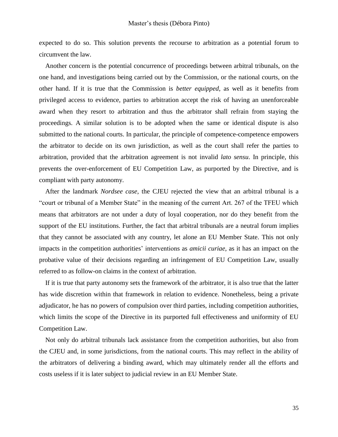expected to do so. This solution prevents the recourse to arbitration as a potential forum to circumvent the law.

Another concern is the potential concurrence of proceedings between arbitral tribunals, on the one hand, and investigations being carried out by the Commission, or the national courts, on the other hand. If it is true that the Commission is *better equipped*, as well as it benefits from privileged access to evidence, parties to arbitration accept the risk of having an unenforceable award when they resort to arbitration and thus the arbitrator shall refrain from staying the proceedings. A similar solution is to be adopted when the same or identical dispute is also submitted to the national courts. In particular, the principle of competence-competence empowers the arbitrator to decide on its own jurisdiction, as well as the court shall refer the parties to arbitration, provided that the arbitration agreement is not invalid *lato sensu*. In principle, this prevents the over-enforcement of EU Competition Law, as purported by the Directive, and is compliant with party autonomy.

After the landmark *Nordsee case*, the CJEU rejected the view that an arbitral tribunal is a "court or tribunal of a Member State" in the meaning of the current Art. 267 of the TFEU which means that arbitrators are not under a duty of loyal cooperation, nor do they benefit from the support of the EU institutions. Further, the fact that arbitral tribunals are a neutral forum implies that they cannot be associated with any country, let alone an EU Member State. This not only impacts in the competition authorities' interventions as *amicii curiae*, as it has an impact on the probative value of their decisions regarding an infringement of EU Competition Law, usually referred to as follow-on claims in the context of arbitration.

If it is true that party autonomy sets the framework of the arbitrator, it is also true that the latter has wide discretion within that framework in relation to evidence. Nonetheless, being a private adjudicator, he has no powers of compulsion over third parties, including competition authorities, which limits the scope of the Directive in its purported full effectiveness and uniformity of EU Competition Law.

Not only do arbitral tribunals lack assistance from the competition authorities, but also from the CJEU and, in some jurisdictions, from the national courts. This may reflect in the ability of the arbitrators of delivering a binding award, which may ultimately render all the efforts and costs useless if it is later subject to judicial review in an EU Member State.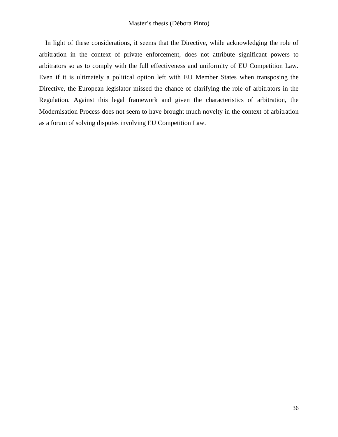In light of these considerations, it seems that the Directive, while acknowledging the role of arbitration in the context of private enforcement, does not attribute significant powers to arbitrators so as to comply with the full effectiveness and uniformity of EU Competition Law. Even if it is ultimately a political option left with EU Member States when transposing the Directive, the European legislator missed the chance of clarifying the role of arbitrators in the Regulation. Against this legal framework and given the characteristics of arbitration, the Modernisation Process does not seem to have brought much novelty in the context of arbitration as a forum of solving disputes involving EU Competition Law.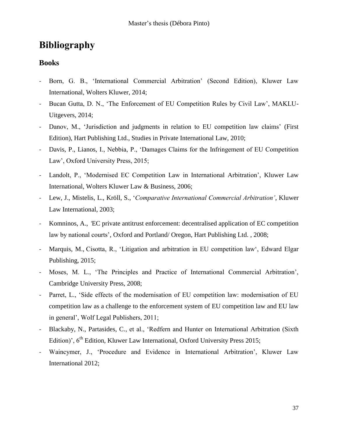# <span id="page-36-0"></span>**Bibliography**

### **Books**

- Born, G. B., 'International Commercial Arbitration' (Second Edition), Kluwer Law International, Wolters Kluwer, 2014;
- Bucan Gutta, D. N., 'The Enforcement of EU Competition Rules by Civil Law', MAKLU-Uitgevers, 2014;
- Danov, M., 'Jurisdiction and judgments in relation to EU competition law claims' (First Edition), Hart Publishing Ltd., Studies in Private International Law, 2010;
- Davis, P., Lianos, I., Nebbia, P., 'Damages Claims for the Infringement of EU Competition Law', Oxford University Press, 2015;
- Landolt, P., 'Modernised EC Competition Law in International Arbitration', Kluwer Law International, Wolters Kluwer Law & Business, 2006;
- Lew, J., Mistelis, L., Kröll, S., '*Comparative International Commercial Arbitration'*, Kluwer Law International, 2003;
- Komninos, A., *'*EC private antitrust enforcement: decentralised application of EC competition law by national courts', Oxford and Portland/ Oregon, Hart Publishing Ltd. , 2008;
- Marquis, M., Cisotta, R., 'Litigation and arbitration in EU competition law', Edward Elgar Publishing, 2015;
- Moses, M. L., 'The Principles and Practice of International Commercial Arbitration', Cambridge University Press, 2008;
- Parret, L., 'Side effects of the modernisation of EU competition law: modernisation of EU competition law as a challenge to the enforcement system of EU competition law and EU law in general', Wolf Legal Publishers, 2011;
- Blackaby, N., Partasides, C., et al., 'Redfern and Hunter on International Arbitration (Sixth Edition)', 6<sup>th</sup> Edition, Kluwer Law International, Oxford University Press 2015;
- Waincymer, J., 'Procedure and Evidence in International Arbitration', Kluwer Law International 2012;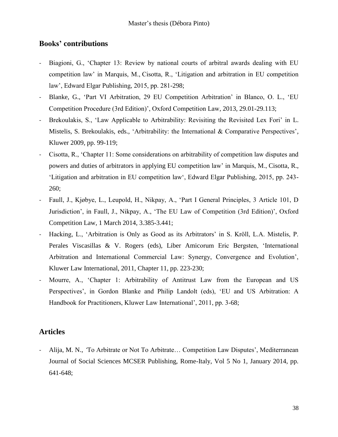### **Books' contributions**

- Biagioni, G., 'Chapter 13: Review by national courts of arbitral awards dealing with EU competition law' in Marquis, M., Cisotta, R., 'Litigation and arbitration in EU competition law', Edward Elgar Publishing, 2015, pp. 281-298;
- Blanke, G., 'Part VI Arbitration, 29 EU Competition Arbitration' in Blanco, O. L., 'EU Competition Procedure (3rd Edition)', Oxford Competition Law, 2013, 29.01-29.113;
- Brekoulakis, S., 'Law Applicable to Arbitrability: Revisiting the Revisited Lex Fori' in L. Mistelis, S. Brekoulakis, eds., 'Arbitrability: the International & Comparative Perspectives'*,*  Kluwer 2009*,* pp. 99-119;
- Cisotta, R., 'Chapter 11: Some considerations on arbitrability of competition law disputes and powers and duties of arbitrators in applying EU competition law' in Marquis, M., Cisotta, R., 'Litigation and arbitration in EU competition law', Edward Elgar Publishing, 2015, pp. 243- 260;
- Faull, J., Kjøbye, L., Leupold, H., Nikpay, A., 'Part I General Principles, 3 Article 101, D Jurisdiction', in Faull, J., Nikpay, A., 'The EU Law of Competition (3rd Edition)', Oxford Competition Law, 1 March 2014, 3.385-3.441;
- Hacking, L., 'Arbitration is Only as Good as its Arbitrators' in S. Kröll, L.A. Mistelis, P. Perales Viscasillas & V. Rogers (eds), Liber Amicorum Eric Bergsten, 'International Arbitration and International Commercial Law: Synergy, Convergence and Evolution', Kluwer Law International, 2011, Chapter 11, pp. 223-230;
- Mourre, A., 'Chapter 1: Arbitrability of Antitrust Law from the European and US Perspectives', in Gordon Blanke and Philip Landolt (eds), 'EU and US Arbitration: A Handbook for Practitioners, Kluwer Law International', 2011, pp. 3-68;

### **Articles**

- Alija, M. N., *'*To Arbitrate or Not To Arbitrate… Competition Law Disputes', Mediterranean Journal of Social Sciences MCSER Publishing, Rome-Italy, Vol 5 No 1, January 2014, pp. 641-648;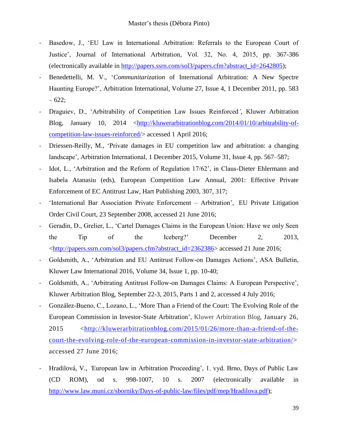- Basedow, J., 'EU Law in International Arbitration: Referrals to the European Court of Justice', Journal of International Arbitration, Vol. 32, No. 4, 2015, pp. 367-386 (electronically available in [http://papers.ssrn.com/sol3/papers.cfm?abstract\\_id=2642805\)](http://papers.ssrn.com/sol3/papers.cfm?abstract_id=2642805);
- Benedettelli, M. V., '*Communitarization* of International Arbitration: A New Spectre Haunting Europe?', Arbitration International, Volume 27, Issue 4, 1 December 2011, pp. 583  $-622;$
- Draguiev, D., 'Arbitrability of Competition Law Issues Reinforced*'*, Kluwer Arbitration Blog, January 10, 2014 [<http://kluwerarbitrationblog.com/2014/01/10/arbitrability-of](http://kluwerarbitrationblog.com/2014/01/10/arbitrability-of-competition-law-issues-reinforced/)[competition-law-issues-reinforced/>](http://kluwerarbitrationblog.com/2014/01/10/arbitrability-of-competition-law-issues-reinforced/) accessed 1 April 2016;
- Driessen-Reilly, M., 'Private damages in EU competition law and arbitration: a changing landscape', Arbitration International, 1 December 2015, Volume 31, Issue 4, pp. 567–587;
- Idot, L., 'Arbitration and the Reform of Regulation 17/62', in Claus-Dieter Ehlermann and Isabela Atanasiu (eds), European Competition Law Annual, 2001: Effective Private Enforcement of EC Antitrust Law, Hart Publishing 2003, 307, 317;
- 'International Bar Association Private Enforcement Arbitration', EU Private Litigation Order Civil Court, 23 September 2008, accessed 21 June 2016;
- Geradin, D., Grelier, L., 'Cartel Damages Claims in the European Union: Have we only Seen the Tip of the Iceberg?' December 2, 2013, [<http://papers.ssrn.com/sol3/papers.cfm?abstract\\_id=2362386>](http://papers.ssrn.com/sol3/papers.cfm?abstract_id=2362386) accessed 21 June 2016;
- Goldsmith, A., 'Arbitration and EU Antitrust Follow-on Damages Actions', ASA Bulletin, Kluwer Law International 2016, Volume 34, Issue 1, pp. 10-40;
- Goldsmith, A., 'Arbitrating Antitrust Follow-on Damages Claims: A European Perspective', Kluwer Arbitration Blog, September 22-3, 2015, Parts 1 and 2, accessed 4 July 2016;
- González-Bueno, C., Lozano, L., 'More Than a Friend of the Court: The Evolving Role of the European Commission in Investor-State Arbitration', Kluwer Arbitration Blog, January 26, 2015 [<http://kluwerarbitrationblog.com/2015/01/26/more-than-a-friend-of-the](http://kluwerarbitrationblog.com/2015/01/26/more-than-a-friend-of-the-court-the-evolving-role-of-the-european-commission-in-investor-state-arbitration/)[court-the-evolving-role-of-the-european-commission-in-investor-state-arbitration/>](http://kluwerarbitrationblog.com/2015/01/26/more-than-a-friend-of-the-court-the-evolving-role-of-the-european-commission-in-investor-state-arbitration/) accessed 27 June 2016;
- Hradilová, V., *'*European law in Arbitration Proceeding', 1. vyd. Brno, Days of Public Law (CD ROM), od s. 998-1007, 10 s. 2007 (electronically available in [http://www.law.muni.cz/sborniky/Days-of-public-law/files/pdf/mep/Hradilova.pdf\)](http://www.law.muni.cz/sborniky/Days-of-public-law/files/pdf/mep/Hradilova.pdf);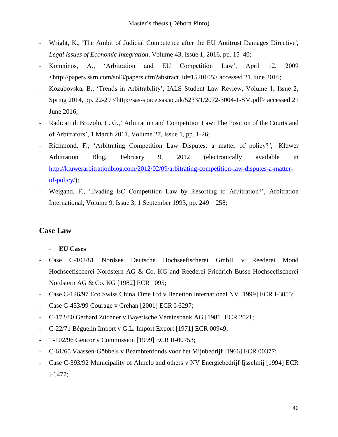- Wright, K., 'The Ambit of Judicial Competence after the EU Antitrust Damages Directive', *Legal Issues of Economic Integration*, Volume 43, Issue 1, 2016, pp. 15–40;
- Komninos, A., 'Arbitration and EU Competition Law', April 12, 2009 <http://papers.ssrn.com/sol3/papers.cfm?abstract\_id=1520105> accessed 21 June 2016;
- Kozubovska, B., 'Trends in Arbitrability', IALS Student Law Review, Volume 1, Issue 2, Spring 2014, pp. 22-29 <http://sas-space.sas.ac.uk/5233/1/2072-3004-1-SM.pdf> accessed 21 June 2016;
- Radicati di Brozolo, L. G.,' Arbitration and Competition Law: The Position of the Courts and of Arbitrators', 1 March 2011, Volume 27, Issue 1, pp. 1-26;
- Richmond, F., 'Arbitrating Competition Law Disputes: a matter of policy?*'*, Kluwer Arbitration Blog, February 9, 2012 (electronically available in [http://kluwerarbitrationblog.com/2012/02/09/arbitrating-competition-law-disputes-a-matter](http://kluwerarbitrationblog.com/2012/02/09/arbitrating-competition-law-disputes-a-matter-of-policy/)[of-policy/\)](http://kluwerarbitrationblog.com/2012/02/09/arbitrating-competition-law-disputes-a-matter-of-policy/);
- Weigand, F., 'Evading EC Competition Law by Resorting to Arbitration?', Arbitration International, Volume 9, Issue 3, 1 September 1993, pp. 249 – 258;

## **Case Law**

- **EU Cases**
- Case C-102/81 Nordsee Deutsche Hochseefischerei GmbH v Reederei Mond Hochseefischerei Nordstern AG & Co. KG and Reederei Friedrich Busse Hochseefischerei Nordstern AG & Co. KG [1982] ECR 1095;
- Case C-126/97 Eco Swiss China Time Ltd v Benetton International NV [1999] ECR I-3055;
- Case C-453/99 Courage v Crehan [2001] ECR I-6297;
- C-172/80 Gerhard Züchner v Bayerische Vereinsbank AG [1981] ECR 2021;
- C-22/71 Béguelin Import v G.L. Import Export [1971] ECR 00949;
- T-102/96 Gencor v Commission [1999] ECR II-00753;
- C-61/65 Vaassen-Göbbels v Beambtenfonds voor het Mijnbedrijf [1966] ECR 00377;
- Case C-393/92 Municipality of Almelo and others v NV Energiebedrijf Ijsselmij [1994] ECR I-1477;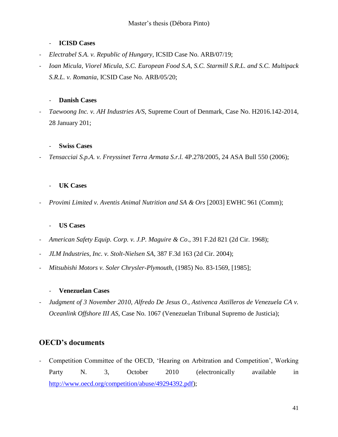#### - **ICISD Cases**

- *Electrabel S.A. v. Republic of Hungary*, ICSID Case No. ARB/07/19;
- *Ioan Micula, Viorel Micula, S.C. European Food S.A, S.C. Starmill S.R.L. and S.C. Multipack S.R.L. v. Romania*, ICSID Case No. ARB/05/20;

#### - **Danish Cases**

- *Taewoong Inc. v. AH Industries A/S*, Supreme Court of Denmark, Case No. H2016.142-2014, 28 January 201;

#### - **Swiss Cases**

- *Tensacciai S.p.A. v. Freyssinet Terra Armata S.r.l.* 4P.278/2005, 24 ASA Bull 550 (2006);

#### UK Cases

- *Provimi Limited v. Aventis Animal Nutrition and SA & Ors* [2003] EWHC 961 (Comm);

#### - **US Cases**

- *American Safety Equip. Corp. v. J.P. Maguire & Co*., 391 F.2d 821 (2d Cir. 1968);
- *JLM Industries, Inc. v. Stolt-Nielsen SA*, 387 F.3d 163 (2d Cir. 2004);
- *Mitsubishi Motors v. Soler Chrysler-Plymouth*, (1985) No. 83-1569, [1985];

#### - **Venezuelan Cases**

- *Judgment of 3 November 2010, Alfredo De Jesus O., Astivenca Astilleros de Venezuela CA v. Oceanlink Offshore III AS*, Case No. 1067 (Venezuelan Tribunal Supremo de Justicia);

## **OECD's documents**

Competition Committee of the OECD, 'Hearing on Arbitration and Competition', Working Party N. 3, October 2010 (electronically available in [http://www.oecd.org/competition/abuse/49294392.pdf\)](http://www.oecd.org/competition/abuse/49294392.pdf);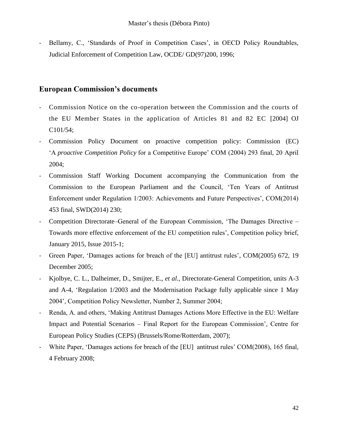- Bellamy, C., 'Standards of Proof in Competition Cases', in OECD Policy Roundtables, Judicial Enforcement of Competition Law, OCDE/ GD(97)200, 1996;

## **European Commission's documents**

- Commission Notice on the co-operation between the Commission and the courts of the EU Member States in the application of Articles 81 and 82 EC [2004] OJ C101/54;
- Commission Policy Document on proactive competition policy: Commission (EC) 'A *proactive Competition Policy* for a Competitive Europe' COM (2004) 293 final, 20 April 2004;
- Commission Staff Working Document accompanying the Communication from the Commission to the European Parliament and the Council, 'Ten Years of Antitrust Enforcement under Regulation 1/2003: Achievements and Future Perspectives', COM(2014) 453 final, SWD(2014) 230;
- Competition Directorate–General of the European Commission, 'The Damages Directive Towards more effective enforcement of the EU competition rules', Competition policy brief, January 2015, Issue 2015-1;
- Green Paper, 'Damages actions for breach of the [EU] antitrust rules', COM(2005) 672, 19 December 2005;
- Kjolbye, C. L., Dalheimer, D., Smijter, E., *et al*., Directorate-General Competition, units A-3 and A-4, 'Regulation 1/2003 and the Modernisation Package fully applicable since 1 May 2004', Competition Policy Newsletter, Number 2, Summer 2004;
- Renda, A. and others, 'Making Antitrust Damages Actions More Effective in the EU: Welfare Impact and Potential Scenarios – Final Report for the European Commission', Centre for European Policy Studies (CEPS) (Brussels/Rome/Rotterdam, 2007);
- White Paper, 'Damages actions for breach of the [EU] antitrust rules' COM(2008), 165 final, 4 February 2008;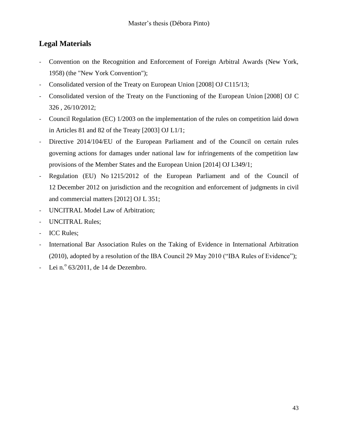## **Legal Materials**

- Convention on the Recognition and Enforcement of Foreign Arbitral Awards (New York, 1958) (the "New York Convention");
- Consolidated version of the Treaty on European Union [2008] OJ C115/13;
- Consolidated version of the Treaty on the Functioning of the European Union [2008] OJ C 326 , 26/10/2012;
- Council Regulation (EC) 1/2003 on the implementation of the rules on competition laid down in Articles 81 and 82 of the Treaty [2003] OJ L1/1;
- Directive 2014/104/EU of the European Parliament and of the Council on certain rules governing actions for damages under national law for infringements of the competition law provisions of the Member States and the European Union [2014] OJ L349/1;
- Regulation (EU) No 1215/2012 of the European Parliament and of the Council of 12 December 2012 on jurisdiction and the recognition and enforcement of judgments in civil and commercial matters [2012] OJ L 351;
- UNCITRAL Model Law of Arbitration;
- UNCITRAL Rules;
- ICC Rules;
- International Bar Association Rules on the Taking of Evidence in International Arbitration (2010), adopted by a resolution of the IBA Council 29 May 2010 ("IBA Rules of Evidence");
- Lei n.º  $63/2011$ , de 14 de Dezembro.